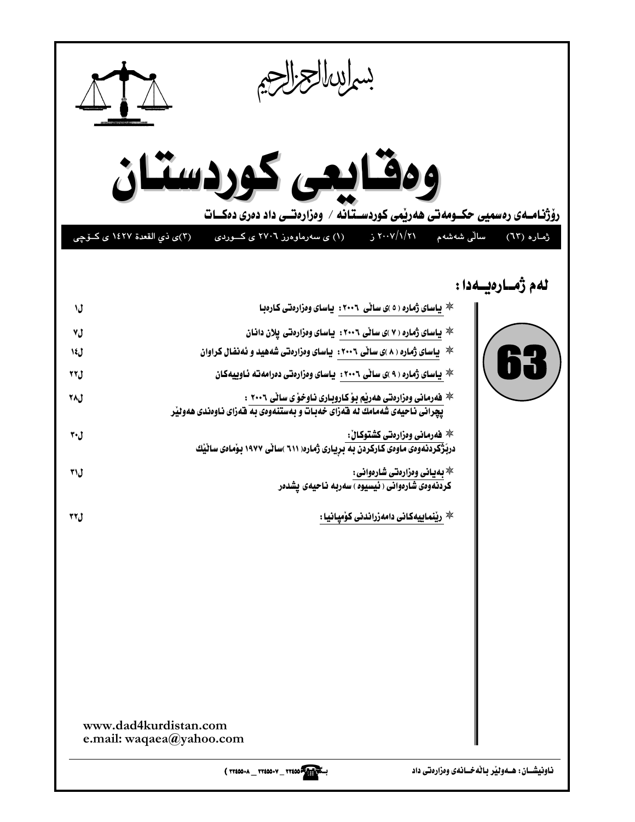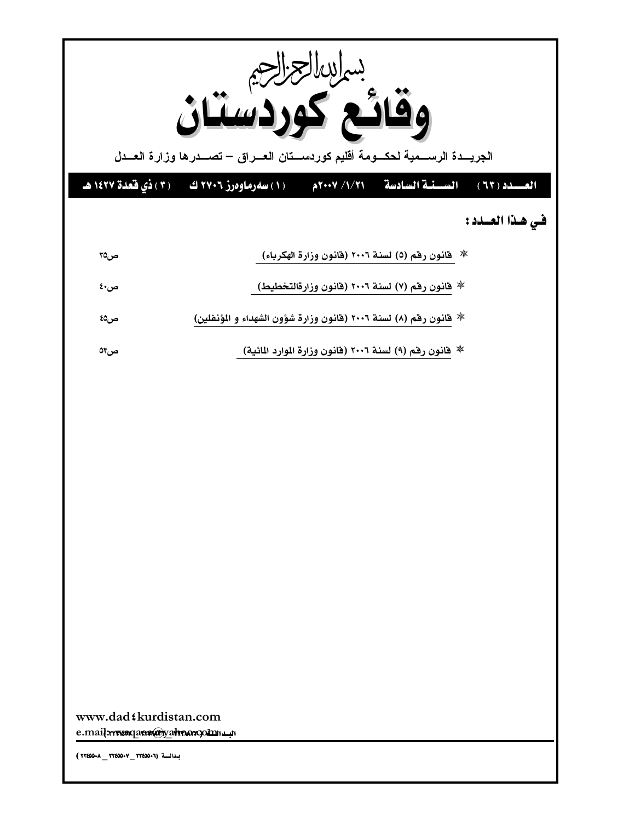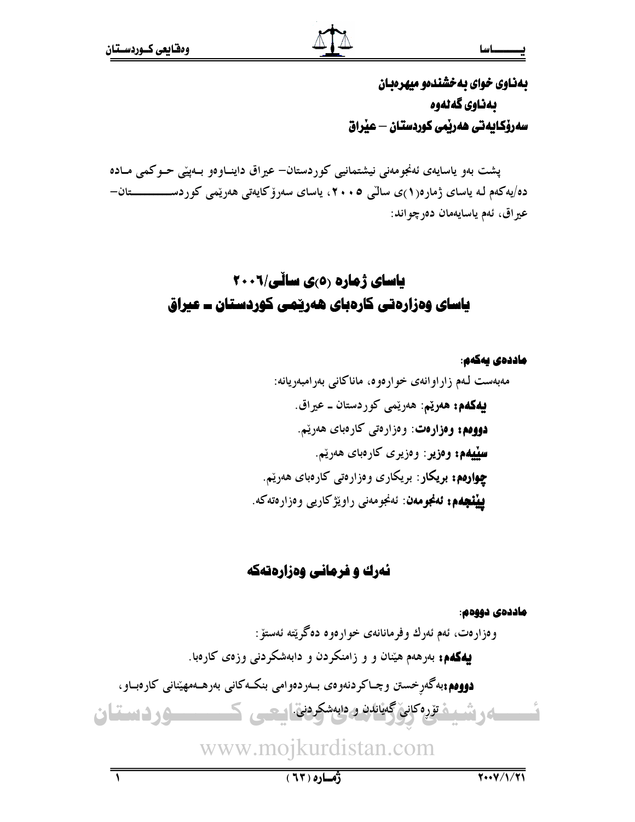$\overline{\mathcal{L}}$ 

## بهناوی خوای به خشندهو میهرهبان بەناوي گەنەوە سەرۆكايەتى ھەربمى كوردستان — عيراق

یشت بهو پاسایهی ئهنجومهنی نیشتمانیی کوردستان- عیراق دایناوهو بسهینی حسوکمی مباده دە/يەكەم لـە ياساي ژمارە(١)ى سالىي ٢٠٠٥، ياساي سەرۆكايەتى ھەرپىمى كوردىســــــــــــتان-عير اق، ئەم ياسايەمان دەرچو اند:

## باسای ژماره (۰)ی سالّی/۲۰۰۲ یاسای وهزارهتی کارهبای ههریمی کوردستان ــ عیراق

ماددەى يەكەم:

## نهرك و فرمانی وهزارهتهکه

# ماددەى دووەم: وەزارەت، ئەم ئەرك وفرمانانەي خوارەوە دەگرېتە ئەستۆ : **بهکهم:** بهرههم هیّنان و و زامنکردن و دابهشکردنی وزهی کارهبا. **دووهم؛**بهگەرخستن وچـاكردنەوەي بــەردەوامى بنكــەكانى بەرھــەمهيّنانى كارەبــاو، تسمسه رشيبه تزره كانى گهانانده دابهشكردنى ايتحى كمستسسورد استان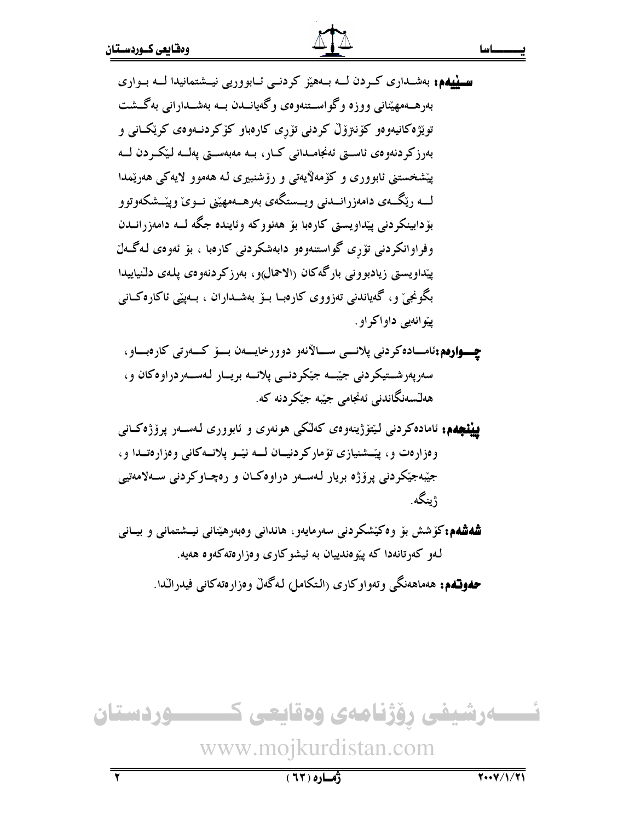ت میلیهم: بهشـداری کـردن لــه بــهییز کردنــی ئــابووریی نیــشتمانیدا لــه بــواری به, هــهمهینانی ووزه وگوابســتنهوهی وگهپانــدن بــه بهشــدارانی بهگــشت توێژەكانيەوەو كۆنتزۆڵ كردنى تۆرى كارەباو كۆكردنــەوەى كرێكــانى و بەرزكردنەوەي ئاسىتى ئەنجامىدانى كىار، بىه مەبەسىتى پەلسە لىيكىردن لىـە پیشخستنی ئابووری و کۆمەلاپەتی و رۆشنبېری لـه هەموو لايەکی هەرپىمدا لـــه ريْگـــهي دامەزرانـــدنبي ويـــستگەي بەرھـــەمھێني نـــوي وييْـــشكەوتوو بۆدابینکردنی پیْداویستی کارەبا بۆ ھەنووکە وئایندە جگە لــه دامەزرانــدن وفراوانکردنی تۆری گواستنهوهو دابهشکردنی کارهبا ، بۆ ئەوەی لەگەل پیداویستی زیادبوونی بارگەکان (الاحمال)و، بەرزکردنەوەی پلەی دلنیاییدا بگونجي و، گهياندني تهزووي کارهبــا بــو بهشـــداران ، بــهيپي ئاکارهکــاني پیْوانهیی داواکواو .

چهوارهم:ئامساده کردنی پلانسی سسالانهو دوور خایسهن بسوّ کسهرتی کارهبساو، سەريەرشىتيكردنى جيّبه جيّكردنــى پلانــه بريــار لـهســەردراوەكان و، ھەڭسەنگاندنى ئەنجامى جێبە جێكردنە كە.

**يينچەم؛** ئامادەكردنى لى<u>ت</u>ۆژىنەوەى كەلكى ھونەرى و ئابوورى لـەســەر پرۆژەكــانى وهزارهت و، پیّــشنیازی تۆمارکردنیــان لـــه نیّــو پلانــهکانی وهزارهتــدا و، جيبهجيکردنې پرۆژه بريار لـهسـهر دراوهکـان و رهچـاوکردنې ســهلامهتيې ژىيىگە.

شدشده: کۆشش بۆ وەکێشکردنی سەرمايەو، ھاندانی وەبەرھێنانی نیــشتمانی و بیــانی لـهو کهرتانهدا که پيوهندييان به ئيشوکاري وهزارهتهکهوه ههيه. حهوتهم: هەماهەنگی وتەواوكارى (الـتكامل) لـەگەلّ وەزارەتەكانى فيدرالـّدا.

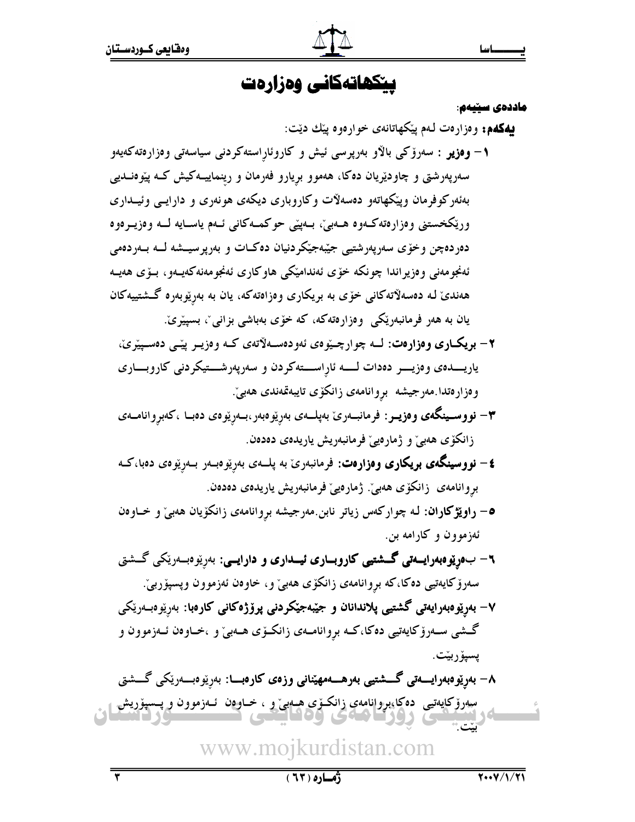## ييكهاتهكانى وهزارهت

#### ماددەى سێيەم:

**پهکهم:** وهزارهت لـهم پێکهاتانهی خوارهوه پێك دێت:

- ۱– **وەزير** : سەرۆكى بالاو بەرپرسى ئيش و كاروئاراستەكردنى سياسەتى وەزارەتەكەيەو سەرپەرشتى و چاودێريان دەكا، ھەموو بريارو فەرمان و رينماييــەكيش كــه پێوەنــديى بهئهرکوفرمان وپێکهاتهو دهسهلات وکاروباری دیکهی هونهری و دارایسی وئیــداری وريْكخستني وەزارەتەكــەوە ھــەبى، بــەپيْي حوڭمــەكانى ئــەم ياســايە لـــە وەزيــرەوە دەردەچن وخۆى سەرپەرشتيى جێبەجێكردنيان دەكـات و بەرپرسيــشە لــە بــەردەمى ئەنجو مەنى وەزيراندا چونكە خۆى ئەندامێكى ھاوكارى ئەنجومەنەكەيــەو، بــۆى ھەيــە هەندى لـه دەسەلاتەكانى خۆى بە بريكارى وەزاەتەكە، يان بە بەرىوبەرە گـشتييەكان یان به هەر فرمانبەرێکی وەزارەتەکە، کە خۆی بەباشی بزانی ٌ، بسپێرێ.
	- ۲ بریک ری وهزارهت: لــه چوارچـێوهی ئەودەســهلاتەی کـه وەزیـر پێـی دەســیێری، ياريــــدەي وەزيــــر دەدات لـــــه ئاراســــتهكردن و سەرپەرشـــتيكردنى كاروبــــارى وەزارەتدا.مەرجيشە بروانامەي زانكۆي تايبەتمەندى ھەبىّ.
	- ۳– نووسـينگەی وەزيــر: فرمانبــەرێ بەپلـــەی بەرێوەبەر،بــەرێوەی دەبــا ،کەبروانامــەی زانکۆی هەبى و ژمارەيے فرمانبەريش ياريدەي دەدەن.
	- **٤ نووسینگەی بریکاری وەزارەت**: فرمانبەرێ بە پلــەی بە<sub>رِ</sub>ێوەبـەر بـەرِێوەی دەبا،کـە بروانامەي زانكۆي ھەبىؒ. ژمارەيىؒ فرمانبەريش ياريدەي دەدەن.
	- ۰۵ راویژگاران: لـه چوارکهس زیاتر نابن مهرجیشه بروانامهی زانکۆیان ههبیّ و خـاوهن ئهزموون و کارامه بن ِ
	- ۲ ب٥رێوڢهرایــەتى گــشتیى کاروبــارى ئیــدارى و دارایــي: بەرێوبــەرێکى گــشتى سەرۆكايەتيى دەكا،كە بروانامەي زانكۆي ھەبىؒ و، خاوەن ئەزموون وپسپۆربىؒ.
	- ۷– بەرێوەبەرايەتى گشتيى پلاندانان و جێبەجێکردنى پرۆژەکانى کارەبا: بەرێوەبـەرێکى گشی ســهرۆکايەتيى دەکا،کــه بږوانامــهى زانکــۆی هــهبیْ و ،خــاوەن ئــهزموون و پسپۆربێت.
- ۸– بەرتوەبەرايــــەتى گــــشتيى بەرھــــەمھێنانى وزەي كارەبــــا: بەرێوەبـــەرێكى گــــشتى سەرۆكايەتيى دەكاپىروانامەي زانكىۆي ھىەبى و ، خــاوەن ئــەزموون و پــسپۆريش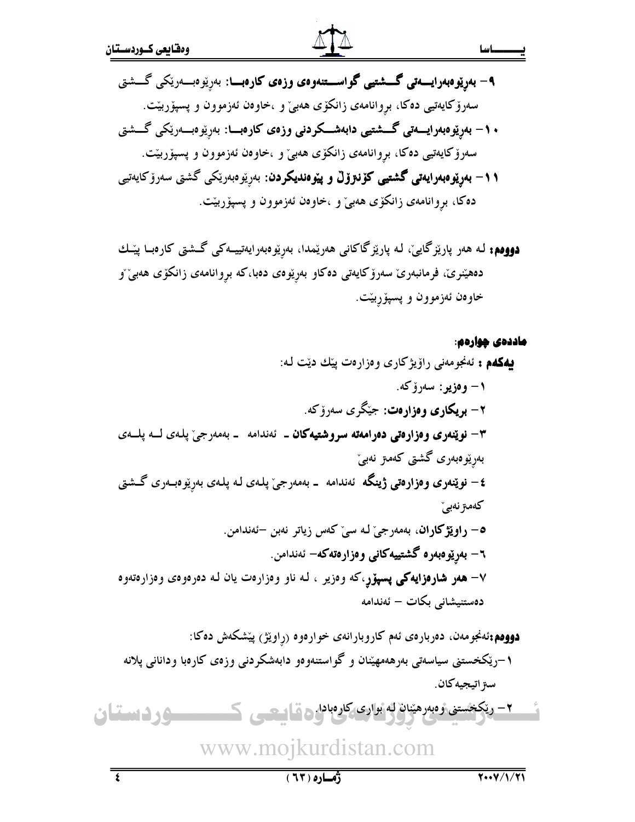- ۹– بەرێوەبەرايــــەتى گــــشتیىي گواســــتنەوەي وزەي كارەبــــا: بەرێوەبــــەرێكى گــــشتى سەرۆكايەتىيى دەكا، بروانامەي زانكۆي ھەبىٰ و ،خاوەن ئەزموون و پسپۆربێت. ۰ ۱ – بەرتوەبەرايسەتى گـــشتيى دابەشـــكردنى وزەي كارەبـــا: بەرتوەبـــەرتكى گـــشتى سەرۆكايەتپى دەكا، بروانامەي زانكۆي ھەبى ْ و ،خاوەن ئەزموون و پسپۆربێت. **۱۱– بەرێوەبەرايەتى گشتيى كۆنىزۆلْ و پێوەندىكردن**: بەرێوەبەرێكى گشتى سەرۆكايەتيى دهکا، بروانامهی زانکۆی هەبیْ و ،خاوەن ئەزموون و پسپۆربێت.
- **دوومم:** لـه هەر پارێزگايي، لـه پارێزگاكانى هەرێمدا، بەرێوەبەرايەتييــەكى گــشتى كارەبــا پێـلك دەھێنرێ، فرمانبەرێ سەرۆکايەتى دەکاو بەرێوەی دەبا،کە بروانامەی زانکۆی ھەبیٚ و خاوەن ئەزموون و پسپۆربێت.

#### ماددەى چوارەم:

بهکهم : ئەنجومەنى راۆيژكارى وەزارەت پێك دێت لـه: ۱ – وەزير: سەرۆكە. ۲– بریکاری وهزارهت: جیکری سەرۆکە. ۳– نوپنەرى وەزارەتى دەرامەتە سروشتيەكان ــ ئەندامە ـ بەمەرجىّ پلەى لــە پلــەى بەرێوەبەرى گشتى كەمىز نەبى ٤ – ن**وێنەرى وەزارەتى ژينگە** ئەندامە ــ بەمەرجىّ پلـەى لـە پلـەى بەرێوەبــەرى گــشتى كەمىز نەبى` 0- راوێژگاران، بەمەرجى ْلـه سى کەس زياتر نەبن –ئەندامن. ٦ – بەرێوەبەرە گشتىيەكانى وەزارەتەكە– ئەندامن. ۷– ه**مو شارەزايەكى پسپۆر**،كە وەزير ، لـه ناو وەزارەت يان لـه دەرەوەى وەزارەتەوە دەستنيشانى بكات – ئەندامە

**دووهم؛**ئەنجومەن، دەربارەی ئەم كاروبارانەی خوارەوە (راوێژ<sub>)</sub> پێشكەش دەكا: ۱–ریکخستنی سیاسهتی بهرههمهپّنان و گواستنهوهو دابهشکردنی وزهی کارهبا ودانانی پلانه سىز اتيجيه كان ِ ۲\_ ریکخستنی و مدرهینان له بواری کار مدام ج م ا <u>مردستان</u>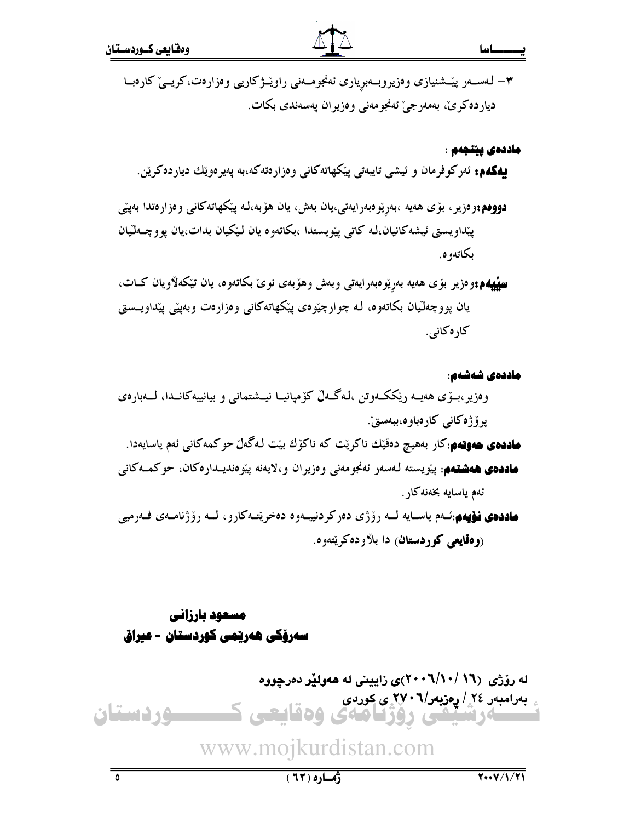۳– لـهســهر پێــشنیازی وهزیروبــهبریاری ئهنجومــهنی راوێــژکاریی وهزارهت،کریــمێ کارهبــا دياردەكرى، بەمەرجى ئەنجومەنى وەزيران يەسەندى بكات.

ماددەى يىنغەم :

**بیهکهم:** ئەركوفرمان و ئیشبی تایبەتی پیکهاتەکانی وەزارەتەکە،بە پەیرەوپْك دیاردەكرپْن.

**دوومم:**وەزیر، بۆی ھەیە ،بەرێوەبەرايەتى،يان بەش، يان ھۆبە،لـە پێکھاتەکانى وەزارەتدا بەپێى ييداويستي ئيشهكانيان،له كاتبي ييويستدا ،بكاتهوه يان ليكيان بدات،يان يووچــهليان ىكاتەە ە.

**سیپیهم:**وەزیر بۆی هەیە بەریوەبەرايەتى وبەش وهۆبەی نوێ بکاتەوە، یان تیکەلاویان کــات، یان پووچەلىان بكاتەوە، لـه چوارچێوەي پێکھاتەکانى وەزارەت وبەپێى پێداويـــستى کار ەكانى.

ماددەى شەشەھ: وەزیر،بىۆى ھەيــە رێككــەوتن ،لـەگــەڵ كۆمپانيــا نيــشتمانى و بيانييەكانــدا، لـــەبارەي يرۆژەكانى كارەباوە،ببەستىٚ. **ھاددہی ھەۋتەم**:کار بەھيچ دەقێك ناكرێت كە ناكۆك بێت لـەگەلٌ حوكمەكانى ئەم ياسايەدا. **ماددهي هەشتەم**: پێويسته لـهسەر ئەنجومەنى وەزيران و،لايەنە پێوەنديـدارەكان، حوكمــەكانى ئەم ياسايە بخەنەكار .

**ماددهی نفیهم**:ئـهم یاسـایه لــه رۆژی ده<sub>(</sub>کردنییـهوه دهخرینتـهکارو، لــه رۆژنامـهی فـهرمیی (**و هقایعی کوردستان**) دا بلاّوده کویّتهوه.

## مسعود بارزانى سەرۆكى ھەرپمى كوردستان - عيراق

له رؤژي (١٦ /١٠/١٠-٢٠)ي زاييني له ههوليّر دهرجووه بەرامبەر ٢٤ / **رەزبەر/٢٠٦** ى كوردى <u>موردستان</u> يعى روزنامەي وەقايعى

www.mojkurdistan.com

 $(77)$   $(19)$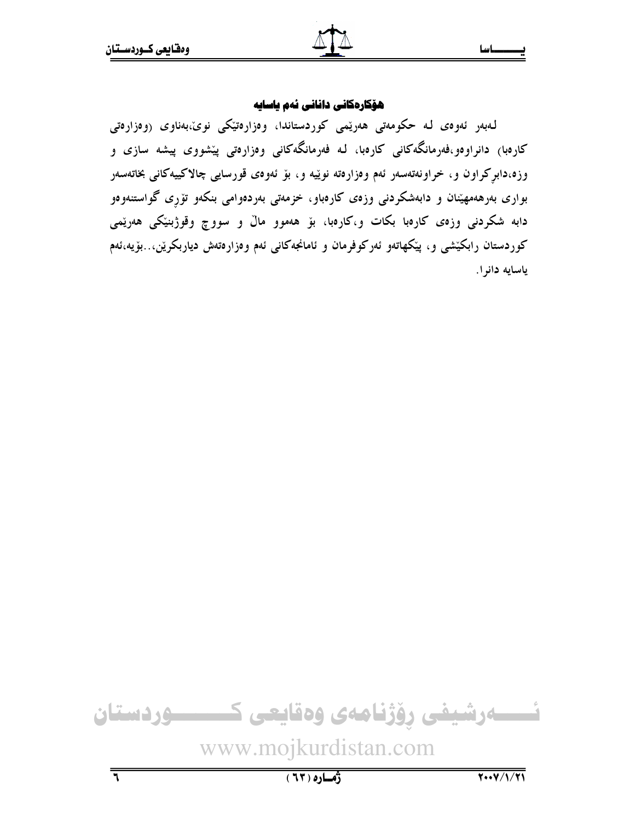#### ـا سـا

## هؤكارهكاني داناني نهم ياسايه

لـهبەر ئەوەي لـه حكومەتى ھەرپىمى كوردستاندا، وەزارەتپكى نوي،بەناوي (وەزارەتى کارەبا) دانراوەو،فەرمانگەکانى کارەبا، لـه فەرمانگەکانى وەزارەتى پێشووى پيشە سازى و وزه،دابرکراون و، خراونهتهسهر ئهم وهزارهته نوپیه و، بۆ ئەوەی قورسایی چالاکییهکانی بخاتهسەر بواری بەرھەمھێنان و دابەشکردنی وزەی کارەباو، خزمەتی بەردەوامی بنکەو تۆرِی گواستنەوەو دابه شکردنی وزەی کارەبا بکات و،کارەبا، بۆ ھەموو مالْ و سووچ وقوژبنێکی ھەرێمی کوردستان رابکێشی و، پێکهاتەو ئەرکوفرمان و ئامانجەکانی ئەم وەزارەتەش دياربکرێن...بۆيە،ئەم ياسايه دانوا.

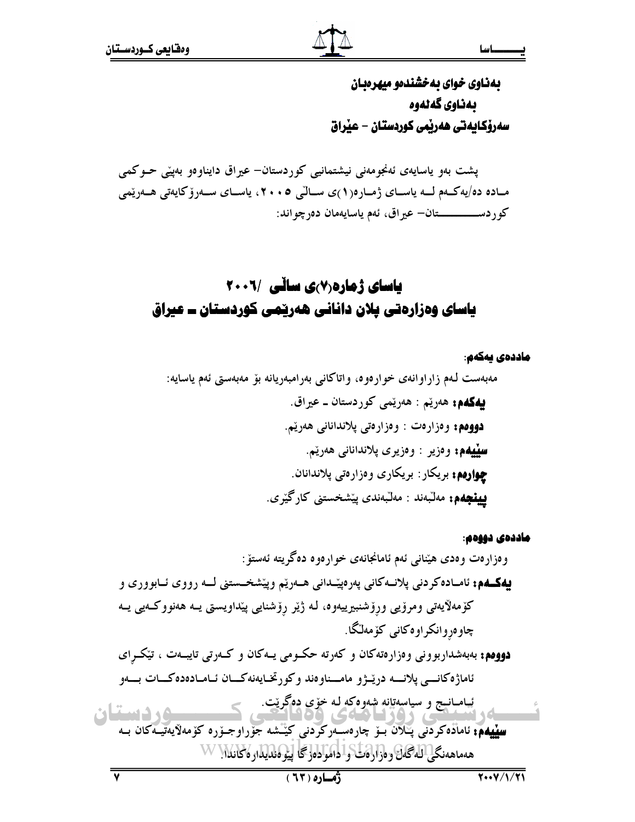## بهناوی خوای به خشندمو میهرهبان بەناوي گەنەوە سەرۆكايەتى ھەريمى كوردستان – عيراق

یشت بهو یاسایهی ئهنجومهنی نیشتمانیی کوردستان– عیراق دایناوهو بهییی حـوکمی مـاده ده/يەكــەم لــه ياســاي ژمــارە(١)ى ســالّـى ٢٠٠٥، ياســاي ســەرۆكايەتى هــەرێمى 

## یاسای ژماره(۷<sub>)</sub>ی ساڵی /۲۰۰۷ یاسای وهزارهتی پلان دانانی هەریّمی کوردستان ــ عیراق

## ماددەى يەكەم:

#### ماددەى دووەم: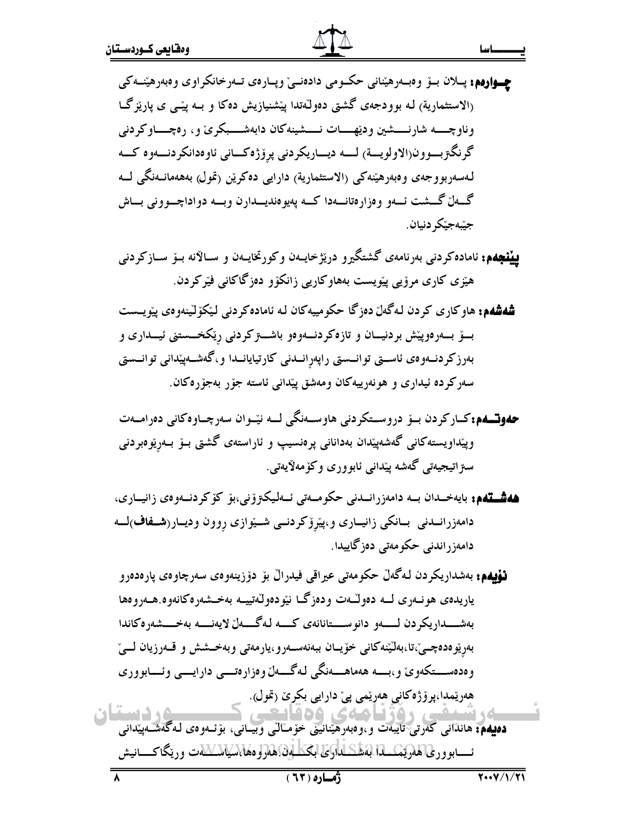**چــواروم:** پــلان بــوٌ وهبــهرهيّناني حکــومي دادهنــيٌ ويــارهي تــهرخانکراوي وهبهرهيّنــه کي (الاستثماریة) لـه بوودجهي گشتي دهولـٌهتدا پَيْشنيازيش دهکا و بـه پَيْــي ي پارێزگــا وناوچـــه شارنــــشين ودێهــــات نــــشينه کان دابهشــــبکري و، رەچـــاو کردنې گرنگتربوون(الاولويسة) لسه ديساريكردني پرۆژەكساني ئاوەدانكردنسەوە كسه لـەسەربو وجەي وەبەرھێنەكى (الاستثمارية) دارايى دەكريْن (تمول) بەھەمانــەنگى لــە گـــهان گــــشت ئــــهو وهزارهتانـــهدا كــــه پهيوهنديــــدارن وبــــه دواداچـــوونى بــــاش جێؠەجێکودنيان

**دیننجهم:** ئاماده کر دنی به, نامهی گشتگیر و دریژ خایسهن و کو, تخایسهن و سسالانه بسفر سساز کر دنی هیزی کاری مروّیی پیْویست بههاوکاریی زانکوّو دەزگاکانی فیْرکردن.

شدشدم: هاوکاری کردن لهگهان دهزگا حکومییهکان له ئامادهکردنی لیکوّلینهوهی پیویست بسۆ بىمرەوپێش بردنيـان و تازەكردنــەوەو باشـــتزكردنى رێكخـــستنى ئيــدارى و بەرزكردنــەوەي ئاســتى توانــستى راپەرِانــدنىي كارتيايانــدا و،گەشــەپێدانى توانــستى سهرکر ده ئیداری و هونهرییهکان ومهشق پیدانی ئاسته جۆر بهجورهکان.

- **حهوت هم:**کارکردن بــۆ دروســتکردنی هاوســهنگی لـــه نێــوان سهرچــاوهکانی دهرامــهت وپیداویستهکانی گەشەپیدان بەدانانی پرەنسیپ و ئاراستەی گشتی بىۆ بىەرپوەبردنی سۃ اتیجیەتی گەشە پیدانی ئابووری وکۆمەلايەتی.
- ههشششهم: بايه *خـد*ان بــه دامهزرانــدني حكومــهتي ئــهليكترؤني،بۆ كۆكردنــهوهي زانيــاري، دامەزرانــدنى بــانكى زانيــارى و،پێرۆكردنــى شــێوازى روون وديــار(شــفاف)لـــه دامەزراندنى حكومەتى دەزگاييدا.

**نـۆيـەم:** بەشداريكردن لـەگەڵ حكومەتى عيراقى فيدراڵ بۆ دۆزينەوەي سەرچاوەي پارەدەرو یاریدهی هونــهری لــه دهولـّــهت ودهزگــا نیودهولـّـهتییــه بهخــشهرهکانهوه.هـــهروهها بهشـــداريكر دن لـــــهو دانوســــتانانهى كـــه لـهگــــهلّ لايهنــــه بهخــــشهره كاندا بەرێوەدەچـێ،تا،بەلێنەكانى خۆيـان ببەنەسـەرو،يارمەتى وبەخـشش و قـەرزيان لــێ وەدەســـتكەوي و،بــــە ھەماھــــەنگى لـەگــــەل وەزارەتـــى دارايـــى وئــــابووري هِەرێمدا،پرۆژەكانى هەرێمى پىٚ دارايى بكرىێ (تمول). ﴿

دهیهم: هاندانی کەرتى تايبەت ۋ،وەبەرهینانینی خۆمالتی وبیانی، بۆئـەوەی لـەگەشـەپیدانی ئسابوور في الهادي بمسلَّداً لِهَنْفَلْكَسْلَادَائِيَّا لِلْكَتَلْبَادِنَا فِعَادِوا وَهَا الْمَيَالِكِيلَات وريكا كسانيش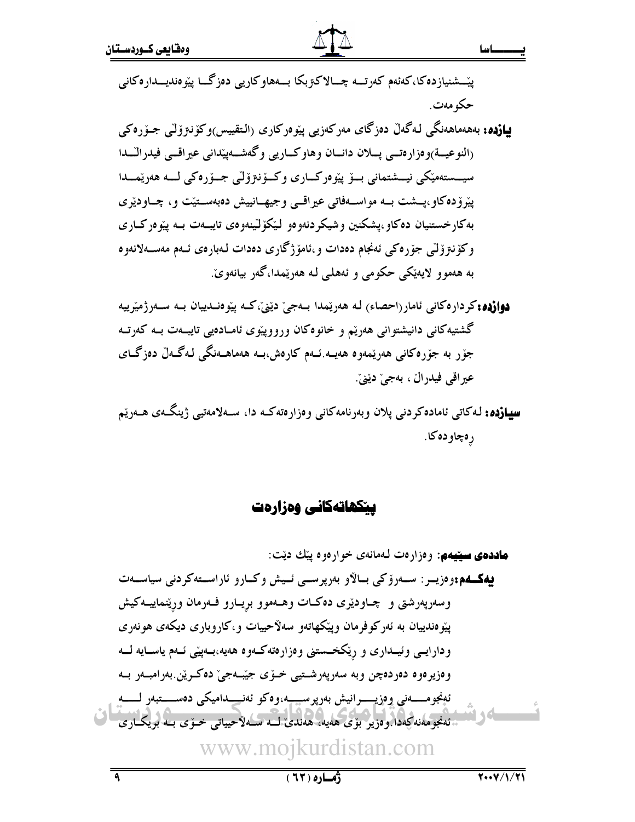پێــشنياز دەكا،كەئەم كەرتـــە چـــالاكترېكا بـــەھاوكارىي دەزگـــا پێوەنديـــدارەكانى حکو مەت.

**پيازده:** بەھەماھەنگى لەگەلّ دەزگاي مەركەزىي پێوەركارى (التقييس)وكۆنىزۆلى جـۆرەكى (النوعيــة)وەزارەتــي پـــلان دانـــان وهاوكـــاريي وگەشـــەپيّداني عيراقـــي فيدرالـــدا سیسستەمیکی نیسشتمانی بسۆپیوەركسارى وكسۆنىزۆلىي جسۆرەكى لسە ھەرپىسىدا پیْرۆدەكاو،پــشت بــه مواســهفاتى عیراقــى وجیهــانییش دەبەســتیْت و، چــاودیْری بهکار خستنیان دهکاو،پشکنین وشیکردنهوهو لَیْکوْلَیْنهوهی تایبهت بـه ییْوهرکاری وکۆنىزۆلىي جۆرەكى ئەنجام دەدات و،ئامۆژگارى دەدات لـەبارەي ئــەم مەســەلانەوە به هەموو لايەێكى حكومى و ئەهلىي لـه هەرێمدا،گەر بيانەوێ.

- **دوازده:**کردارەکانی ئامار (احصاء) له هەریمدا بـهجیّ دی٘نیّ،کـه پی٘وەنـدییان بـه سـەرژمی٘رییه گشتیه کانی دانیشتوانی هەرپم و خانوەکان ورووپپوی ئامـادەیی تایبــەت بــه کەرتــه جۆر بە جۆرەكانى ھەرێمەوە ھەيــە.ئــەم كارەش،بــە ھەماھــەنگى لـەگــەلْ دەزگــاي عير اقي فيدرالٌ ، بهجيٌ ديْنِيٌ.
- **سیازده:** لـه کاتبي ئاماده کر دنبي يلان و به<sub>ز</sub> نامه کانبي و هزار هته کــه دا، ســهلامهتيبي ژينگــهي هــهرينم ر ەچاو دەكا.

ييتكهاتهكاني وهزارهت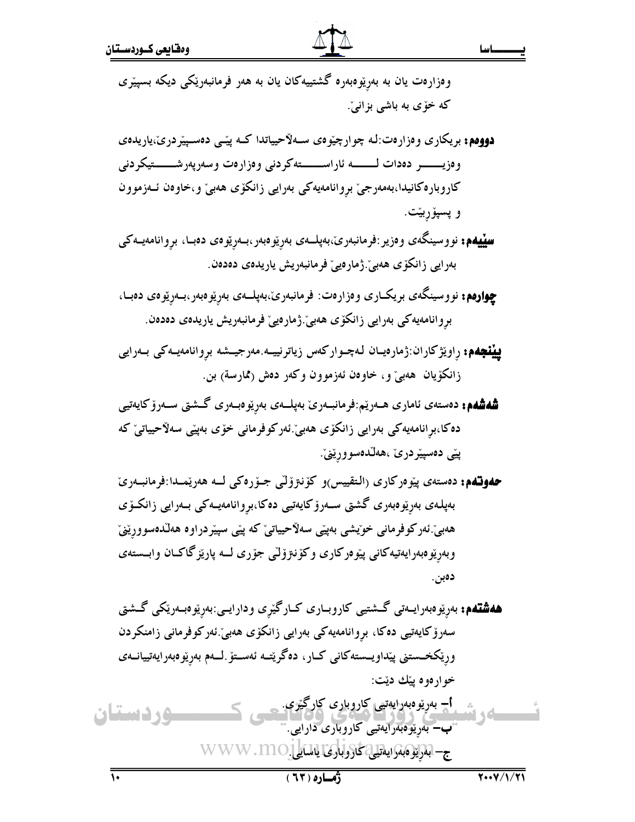وەزارەت يان بە بەرێوەبەرە گشتییەكان يان بە ھەر فرمانبەرێكى دیكە بسپێرى که خۆی به باشی بزانی ٔ.

- **دووهم:** بریکاری وهزارهت:لـه چوارچێوهی ســهلاّحییاتدا کــه پیّــی دهســپیّردری،پاریدهی و هزیــــــــــــر دهدات لــــــــــه او اســــــــــته کر دنبی و هزار هت و سهریهر شــــــــــتیکر دنبی کاروبارەکانيدا،بەمەرجىؒ بروانامەيەكى بەرايى زانكۆي ھەبىؒ و،خاوەن ئـەزموون و پسپۆربێت.
- **سێیهم:** نووسینگەی وەزیر :فرمانبەرێ،بەپلــەی بەرێوەبەر،بـەرێوەی دەبـا، بروانامەیــەکی بەرايى زانكۆي ھەبىّ.ژمارەيىّ فرمانبەريش ياريدەي دەدەن.
- **چوارەم:** نووسینگەی بریک\ری وەزارەت: فرمانبەرێ،بەپلــەی بەرێوەبەر،بـەرێوەی دەبـا، بروانامەيەكى بەرايى زانكۆى ھەبى ژمارەيى فرمانبەريش ياريدەى دەدەن.
- **بینیچهم:** راویژکاران:ژمارەیــان لـهچــوارکەس زیاترنییــه.مەرجیــشه بروانامەیــهکی بــەرایی زانكۆيان هەبى و، خاوەن ئەزموون وكەر دەش (ممارسة) بن.
- **شەشلەم:** دەستەي ئامارى ھــەرێم:فرمانبــەرێ بەيلــەي بەرێوەبــەرى گــشتى ســەرۆكايەتيې دەكا،برانامەيەكى بەرايى زانكۆي ھەبىٚ ئەركوفرمانى خۆي بەپێى سەلاّحيياتىٚ كە پێي دەسپێردرێ ،هەڵدەسوورێنیٚ.
- **حەوتتەم:** دەستەي پێوەركارى <sub>(</sub>التقييس)و كۆنترۆلى جـۆرەكى لــە ھەرێمــدا:فرمانبــەرێ بەپلەي بەرێوەبەرى گشتى سـەرۆكايەتيى دەكا،بروانامەيــەكى بــەرايى زانكــۆى هەبیؒ ئەركوفرمانی خوێشی بەپێی سەلاّحییاتیؒ کە پێی سپێردراوە ھەلٚدەسوورێنیٛ وبەرێوەبەرايەتيەكانى پێوەركارى وكۆنتزۆلىي جۆرى لــە پارێزگاكـان وابــستەي دەبن.

**ههشتهم:** بەرێوەبەرايــەتى گــشتيى كاروبــارى كــارگێرى ودارايــى:بەرێوەبــەرێكى گــشتى سەرۆكايەتيى دەكا، بروانامەيەكى بەرايى زانكۆي ھەبى ٔ.ئەركوفرمانى زامنكردن ورێکخــستني پێداويــستهکاني کــار، دەگرێتــه ئەســتۆ لــهم بەرێوەبەرايەتپيانــەي خوار ەو ە يېڭ دېّت:

أ– بەرێوەبەرايەتيى كاروبارى كارگێرى. وردستان ب— بەرپوەبەرايەتىي كاروبارى دارايى. ج- بەريومبورىيىتى كاروبارئ ياسىل100.WW

 $\overline{\mathbf{w}}$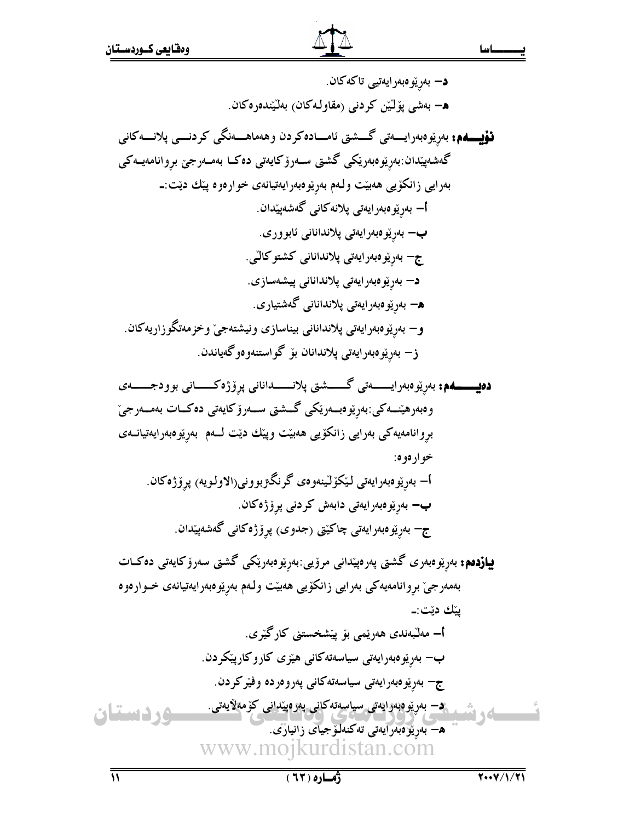ـا سـا

د— بەرێوەبەرايەتيى تاكەكان. ه– بەشى پۆلتىن كردنى (مقاولـەكان) بەلتىندەرەكان. **نۆيسەم:** بەرێوەبەرايــــەتى گــــشتى ئامــــادەكردن وھەماھــــەنگى كردنــــى پلانــــەكانى گەشەپێدان:بەرێوەبەرێکی گشتی سـەرۆکايەتی دەکـا بەمـەرجێ بروانامەيــەکی بەرايى زانكۆيى ھەبێت ولـەم بەرێوەبەرايەتيانەى خوارەوە پێك دێت:ــ أ– بەرێوەبەرايەتى پلانەكانى گەشەپێدان. ب– بەرێوەبەرايەتى پلاندانانى ئابوورى. ج– بەريوەبەرايەتى پلاندانانى كشتوكالىي. د– بەرێوەبەرايەتى پلاندانانى پيشەسازى. ھ– بەريوەبەرايەتى پلاندانانى گەشتيارى. و— بەرپوەبەرايەتى پلاندانانى بيناسازى ونيشتەجىْ وخزمەتگوزاريەكان.

**يازدەم:** بەرپۆوەبەرى گشتى پەرەپێدانى مرۆيى:بەرپۆوەبەرێكى گشتى سەرۆكايەتى دەكـات بەمەرجىّ بروانامەيەكى بەرايى زانكۆيى ھەبێت ولـەم بەرێوەبەرايەتيانەى خـوارەوە يٽك ديٽ:۔

> أ– مەلّبەندى ھەرێمى بۆ پێشخستنى كارگێرى. ب– بەرێوەبەرايەتى سياسەتەكانى ھێزى كاروكارپێكردن. ج– بەرپوەبەرايەتى سياسەتەكانى پەروەردە وفيْركردن.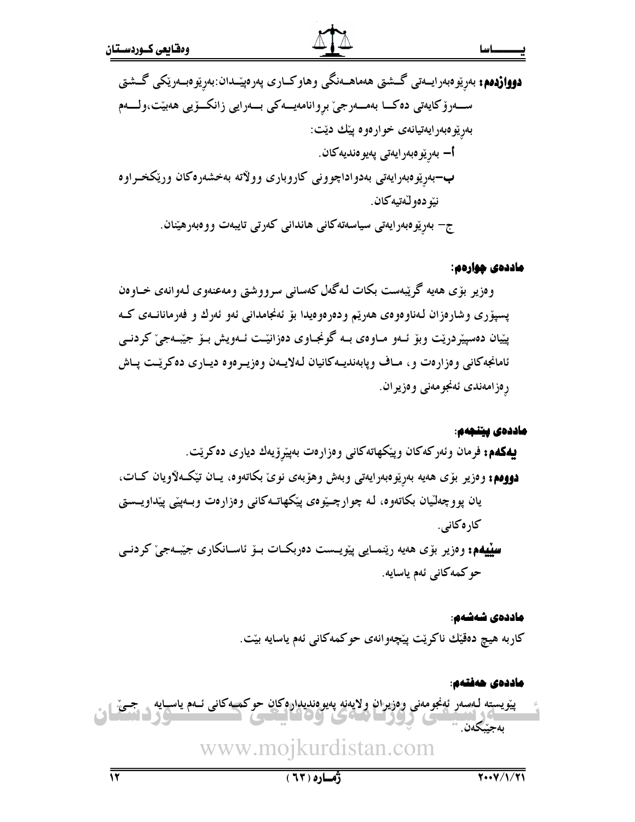**دوواژدهم:** بەرێوەبەرايــەتى گــشتى ھەماھــەنگى وھاوكــارى پەرەپێــدان:بەرێوەبــەرێكى گــشتى ســـەرۆكايەتى دەكـــا بەمـــەرجىّ بروانامەيـــەكى بـــەرايى زانكـــۆيى ھەبێت،ولــــەم بەرێوەبەرايەتيانەي خوارەوە پێك دێت: أ– بەرێوەبەرايەتى پەيوەنديەكان. ب–بەرێوەبەرايەتى بەدواداچوونى كاروبارى وولاته بەخشەرەكان ورێكخـراوە نيْو دەو لـْەتپەكان ِ ج– بەرێوەبەرايەتى سياسەتەكانى ھاندانى كەرتى تايبەت ووەبەرھێنان.

#### ماددەى چوارەم:

وهزیر بۆی هەپە گریبەست بکات لەگەل كەسانى سرووشتى ومەعنەوی لەوانەی خـاوەن پسپۆرى وشارەزان لەناوەوەي ھەرپم ودەرەوەيدا بۆ ئەنجامدانى ئەو ئەرك و فەرمانانىەي كـە پێیان دەسپێردرێت وبۆ ئــهو مــاوەي بــه گونجــاوي دەزانێــت ئــهويش بــۆ جێبــهجیٚ کردنــی ئامانجەكانى وەزارەت و، مـاف وپابەنديـەكانيان لـەلايـەن وەزيـرەوە ديـارى دەكرێـت پـاش رەزامەندى ئەنجومەنى وەزيران.

#### ماددهی يينجهم:

**پیهکهم:** فرمان وئهرکهکان وپێکهاتهکانی وهزارهت بهپیرویهك دیاری دهکریّت. **دوومم:** وەزير بۆى ھەيە بەرپوەبەرايەتى وبەش وھۆبەى نوىٰ بكاتەوە، يـان تێكـەلاويان كـات، یان پووچەلیان بکاتەوە، لـه چوارچـیوەی پیکھاتــهکانی وەزارەت وبــەپیّـی پیّداویــستی كار ەكانى. **سیپیهم:** وەزیر بۆی هەیە رینمــایی پی٘ویــست دەربکــات بــۆ ئاســانکاری جی٘بــەجیٚ کردنــی حو كمەكانى ئەم ياسايە.

#### ماددەى شەشەم:

کاربه هیچ دهقیّك ناكریّت پیّچهوانهى حوكمهكانى ئهم یاسایه بیّت.

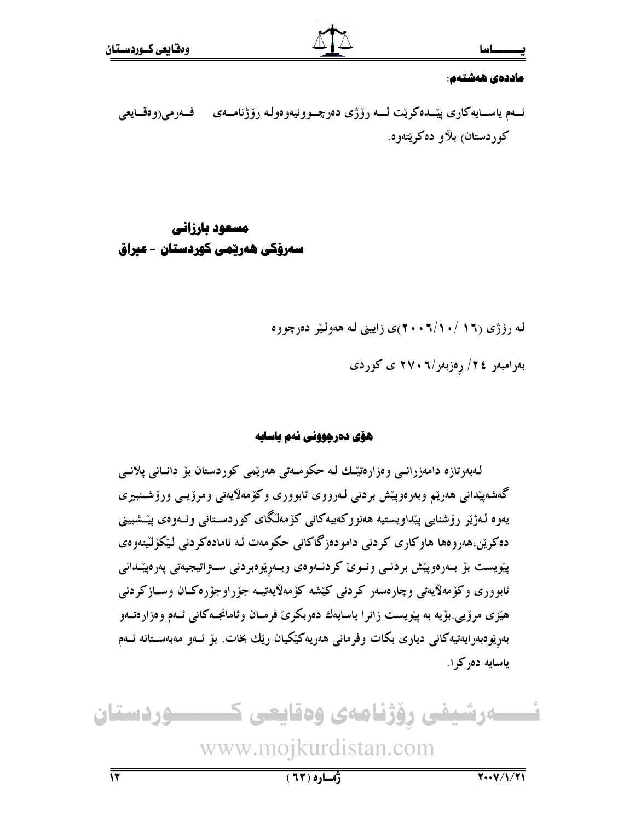#### ماددەى ھەشتەم:

ئــهم ياســـايهكاري پێــدهكرێت لـــه رۆژي دەرچــوونيەوەولـه رۆژنامـــهي فــەرمى(وەقـــايعى کوردستان) بلاو دەکرېيتەوە.

## مسعود بارزاني سەرۆكى ھەرپمى كوردستان - عيراق

له رۆژى (١٦ /١٠/١٠/ ٢٠٠)ى زايينى له هەولير دەرچووە

بەرامبەر ٢٤/ رەزبەر/٢٠٠٦ ي كوردى

#### هۆی دەرچوونى ئەم ياسايە

لـهبەرتازە دامەزرانـي وەزارەتپىّـك لـه حكومــەتى هەرپىمى كوردستان بۆ دانــانى پلانــى گەشەپپىدانى ھەرپىم وبەرەوپپىش بردنى لەرووى ئابوورى وكۆمەلايەتى ومرۆپىي ورۆشىنبيرى يەوە لـەژێر رۆشنايي پێداويستيە ھەنووكەييەكانى كۆمەلگاي كوردىسـتانى وئــەوەي پێــشبيني ده کر پَن،ههرو هها هاو کاري کر دني دامو دهز گاکاني حکومهت له ئاماده کر دني لَيْکَوِّلْيَنهو هي پیْویست بۆ بـەرەوپیْش بردنـی ونـویٰ کردنـەوەی وبـەریوەبردنی سـتراتیجیەتی پەرەپیْـدانی ئابووري وكۆمەلايەتى وچارەسەر كردنى كَيْشە كۆمەلايەتپــە جۆراوجۆرەكــان وســازكردنى هیزی مرۆیی بۆیه به پیویست زانوا پاسایهك دەربكری فومـان وئامانجـهكانی ئــهم وەزارەتــهو بەرپوەبەرايەتيەكانى ديارى بكات وفرمانى ھەرپەكێكيان رێك بخات. بۆ ئـەو مەبەســتانە ئــەم ياسايه ده کر ا

نسسەرشیفی رۆژنامەی وەقايعی كـــــــــوردستان www.mojkurdistan.com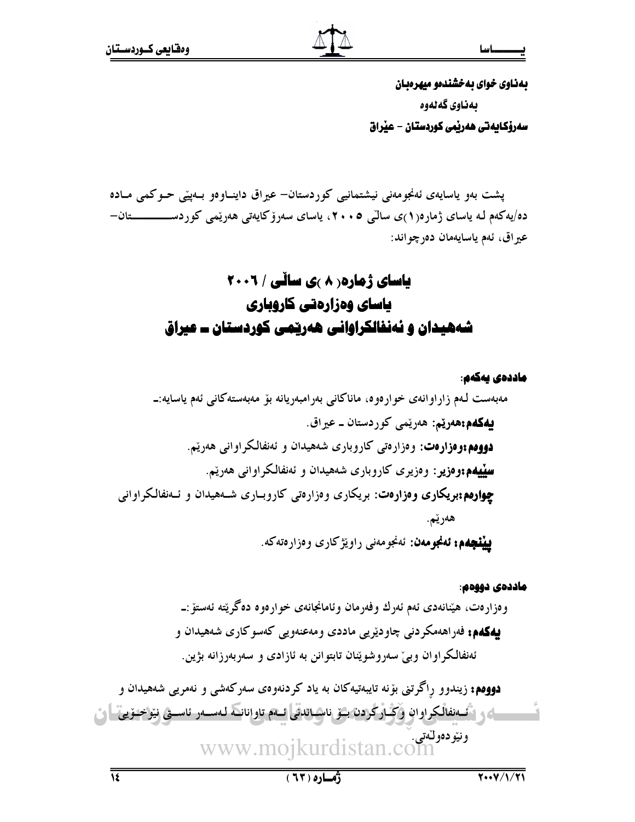بهناوی خوای به خشندهو میهرهبان ىمناوى گەنەوە سەرۆكايەتى ھەريمى كوردستان – عيراق

یشت بهو پاسایهی ئهنجومهنی نیشتمانیی کوردستان– عیراق داینساوهو بسهینی حسوکمی مساده دە/يەكەم لـە ياساي ژمارە(١)ى سالىّ ٢٠٠٥، ياساي سەرۆكايەتى ھەرێمى كوردىســـــــــــــان-عير اق، ئەم ياسايەمان دەرچواند:

## یاسای ژماره (۸ )ی ساڵی / ۲۰۰۲ باسای وهزارهتی کاروباری شەھیدان و ئەنفالکراوانی ھەرپّمی کوردستان ــ عیراق

ماددەى يەكەم:

ماددەى دووەم:

وەزارەت، هێنانەدى ئەم ئەرك وفەرمان وئامانجانەي خوارەوە دەگرێتە ئەستۆ :ــ **بیهکهم:** فهراههمکردنی چاودیریی ماددی ومهعنهویی کهسوکاری شههیدان و ئەنفالكراوان وبئ سەروشوپنان تابتوانن بە ئازادى و سەربەرزانە بژين.

**دووهم:** زیندوو راگرتنی بۆنه تایبهتیهکان به یاد کردنهوهی سهرکهشی و نهمریی شههیدان و ـــــــاء و شخصتفالكراوان وڭارگردن بىق ناسىاتلىقى ئىم تاوانانىة لەســەر ئاســق يۆخـۆيى \_ا ن ونیودەولەتى.<br>www.mojkurdistan.com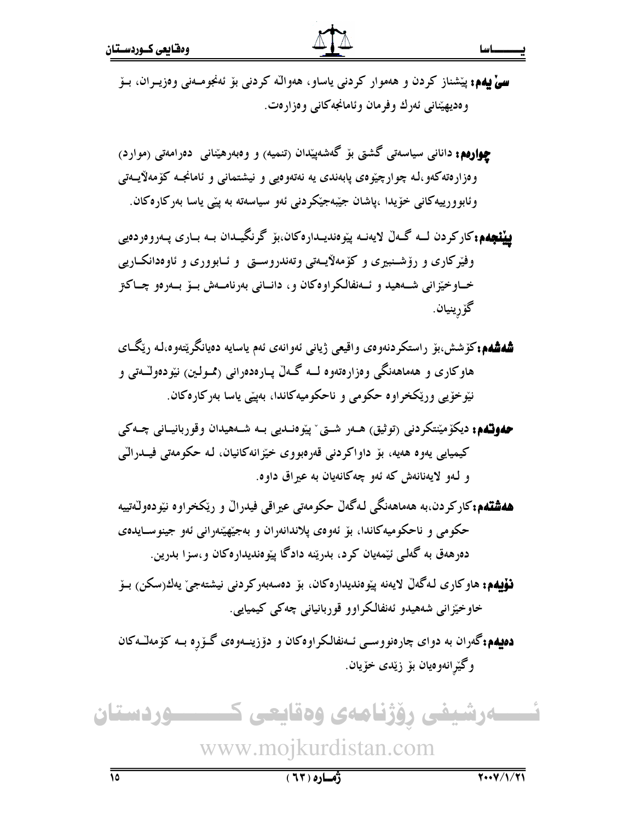**سیٰ پهم:** پی٘شناز کردن و ههموار کردنی یاساو، ههواله کردنی بۆ ئەنجومـهنی وەزیــران، بــۆ و ەديھينانى ئەرك وفرمان وئامانجەكانى وەزارەت.

**چوارهم:** دانانی سیاسهتی گشتی بۆ گەشەپیدان (تنمیه) و وەبەرهینانی دەرامەتی (موارد) وەزارەتەكەو،لە چوارچێوەي پابەندى يە نەتەوەيى و نيشتمانى و ئامانجـە كۆمەلايـەتى وئابوورییهکانی خۆیدا ،پاشان جیّبهجیکردنی ئەو سیاسەتە بە پیّی یاسا بەرکارەکان.

**یینچهم:**کارکردن لــه گــهڵ لایهنــه پیّوهندیــدارهکان،بۆ گرنگیــدان بــه بــاری پــهروهردهیی وفیْرکاری و رۆشـنبیری و کۆمەلاپـەتى وتەندروسـتى و ئـابووری و ئاوەدانکـاریى خــاوخێزاني شــههيد و ئــهنفالكراوهكان و ، دانــاني بهرنامــهش بــۆ بــهرهو چــاكـتز گۆرينيان.

شدشده :کۆشش،بۆ راستکردنەوەي واقیعی ژیانی ئەوانەي ئەم پاساپە دەپانگرېنتەوە،لـە رېچگــاي هاوکاري و ههماههنگي وهزارهتهوه لــه گــهلٌ يــارهدهراني (ممــولـين) نيودهولــّــهتي و نيو خوّيي وريْكخراوه حكومي و ناحكوميهكاندا، بەيپّى پاسا بەركارەكان.

**حەوتتەم:** ديكۆمێنتكردنى (توثيق) ھــەر شــق٬ پێوەنــدیی بــە شــەھیدان وقوربانيــانى چــەكى کیمیایی یەوە ھەيە، بۆ داواکردنی قەرەبووی خێزانەکانیان، لـه حکومەتی فیــدرالـّی و لهو لايەنانەش كە ئەو چەكانەيان بە عيراق داوە.

**ههشتهم:**کارکردن،به ههماههنگی لـهگەلْ حکومەتى عیراقی فیدرالْ و رێکخراوه نیودەولـٌەتییه حکومی و ناحکومیهکاندا، بۆ ئەوەي پلاندانەران و بەجپچینەرانی ئەو جینوسـایدەی دەرھەق بە گەلبى ئېيمەيان كرد، بدرېنه دادگا يېوەنديدارەكان و،سزا بدرين.

قۇيھە: ھاوكارى لەگەلْ لايەنە پێوەنديدارەكان، بۆ دەسەبەركردنى نيشتەجىْ يەڭ(سكن) بىۆ خاوخپُزاني شەھيدو ئەنفالكراوو قوربانياني چەكى كيميايي.

**دهیهم:**گەران به دوای چارەنووسـی ئــهنفالـکراوەکان و دۆزینــهوەی گــۆرە بــه کۆمەلــّـهکان وگێرانەوەيان بۆ زێدى خۆيان.



 $(77)$   $(19)$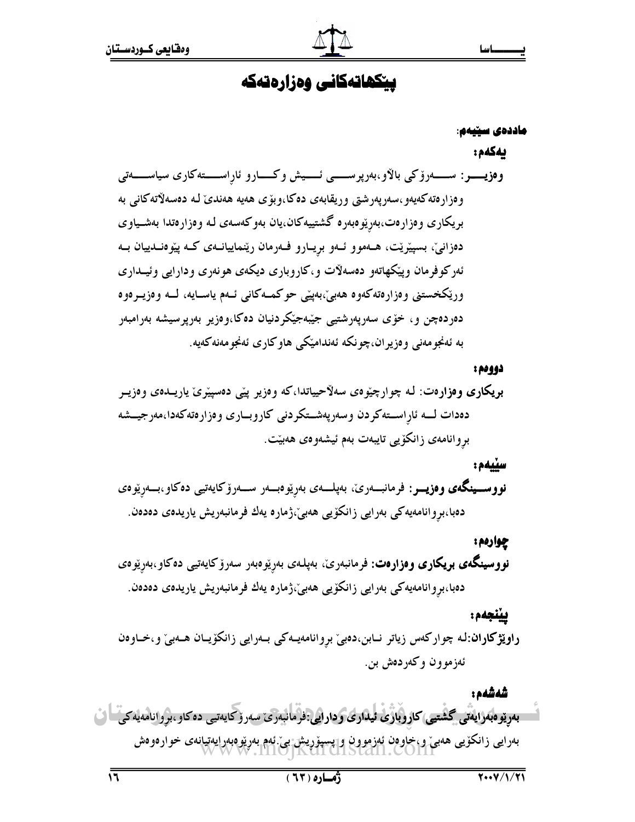## يتكهاتهكاني وهزارهتهكه

#### ماددەى سێيەم:

#### بەكەم:

وەزپىسىر: سىسەرۆكى بالاو،بەرپرسىسى ئىسپش وكسارو ئاراسىستەكارى سياسىسەتى و دزار دته کهیهو ،سهریهرشتی وریقابهی ده کا،وبۆی ههیه ههندی له دهسهلاته کانبی به بریکاری وهزارهت،بهریوهبهره گشتییهکان،یان بهوکهسهی لـه وهزارهتدا بهشـیاوی دەزانى، بسپێرێت، ھـــەموو ئــەو بريــارو فــەرمان رێنماييانــەي كــه پێوەنــدييان بــه ئەركوفرمان وپێکھاتەو دەسەلات و،كاروبارى ديكەي ھونەرى ودارايى وئيىدارى ورێکخستنی وەزارەتەکەوە ھەبى،بەپێی حوکمـەکانى ئـەم ياسـايە، لــە وەزيــرەوە دەردەچن و، خۆى سەرپەرشتيى جێبەجێکردنيان دەكا،وەزير بەرپرسيشە بەرامبەر به ئەنجو مەنى وەزيران،چونكە ئەندامێكى ھاوكارى ئەنجو مەنەكەيە.

#### دوومم:

بریکاری وهزارەت: لـه چوارچێوەی سەلاّحییاتدا،که وەزیر پێی دەسپێرێ یاریــدەی وەزیــر دهدات لــه ئاراســتهكردن وسهرپهشــتكردني كاروبــاري وهزارهتهكهدا،مهرجيــشه بروانامەي زانكۆيى تايبەت بەم ئيشەوەي ھەبيّت.

#### سييمم:

**نووســينگەی وەزيــر**: فرمانبـــەرێ، بەپلـــەی بەرێوەبــەر ســـەرۆكايەتيى دەكاو،بـــەرێوەی دەبا،بروانامەيەكى بەرايى زانكۆيى ھەبى،ژمارە يەك فرمانبەريش ياريدەي دەدەن.

چوارهم: نووسینگەی بریکاری وەزارەت: فرمانبەرێ، بەپلەی بەرێوەبەر سەرۆكاپەتپی دەكاو،بەرێوەی دەبا،بروانامەيەكى بەرايى زانكۆيى ھەبى،ژمارە يەك فرمانبەريش ياريدەى دەدەن.

## ييْنجەم:

راوێژکاران:له چوارکەس زياتر نـابن،دەبى بروانامەيـەکى بـەرايى زانکۆيـان ھـەبى و،خـاوەن ئەزموون وكەردەش بن.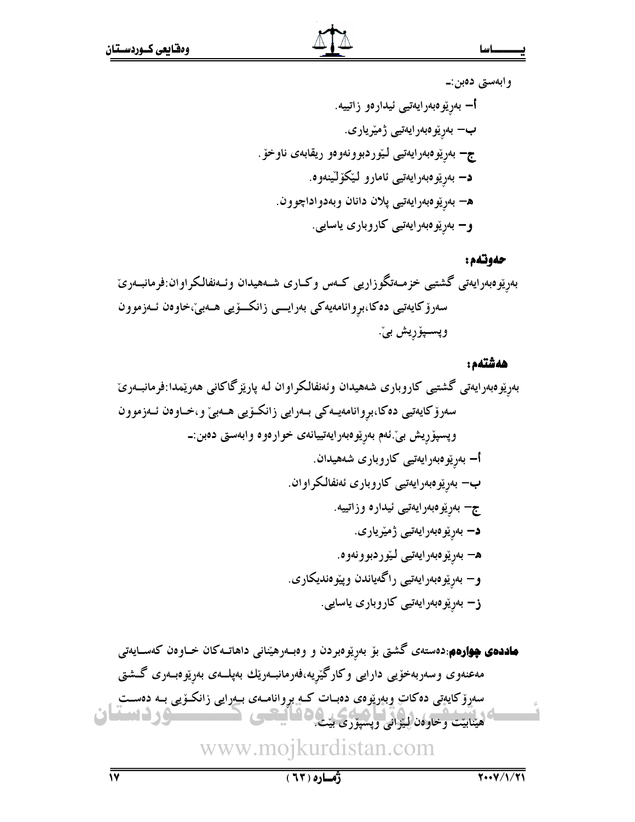وابەستى دەبن:\_

## حەوتەم:

بەرێوەبەرايەتى گشتيى خزمـەتگوزاريى كـەس وكـارى شـەھيدان وئـەنفالكراوان:فرمانبــەرێ سەرۆكايەتيى دەكا،بروانامەيەكى بەرايىمى زانكىۆيى ھـەبى،خاوەن ئـەزموون وپســپۆريش بىٰ.

## هەشتەھ :

**ماددهی چواردم**:دهستهی گشتی بۆ بەرپۆومبردن و وەبـەرهپّنانی داهاتـهکان خـاوەن کەسـايەتی مەعنەوى وسەربەخۆيى دارايى وكارگێږيە،فەرمانبەرێك بەپلــەى بەرێوەبـەرى گــشتى سەرۆكايەتى دەكات وبەرپوەى دەبـات كــه بروانامــەى بــەرايى زانكــۆيى بــە دەســت **گ د دستان** و آنست و حاوهن(لینزان<sub>ی</sub> و اعتمادی) و 6 شاک<del>یا</del><br>هینابیت و حاوهن(لینزانی وپسپوری بیت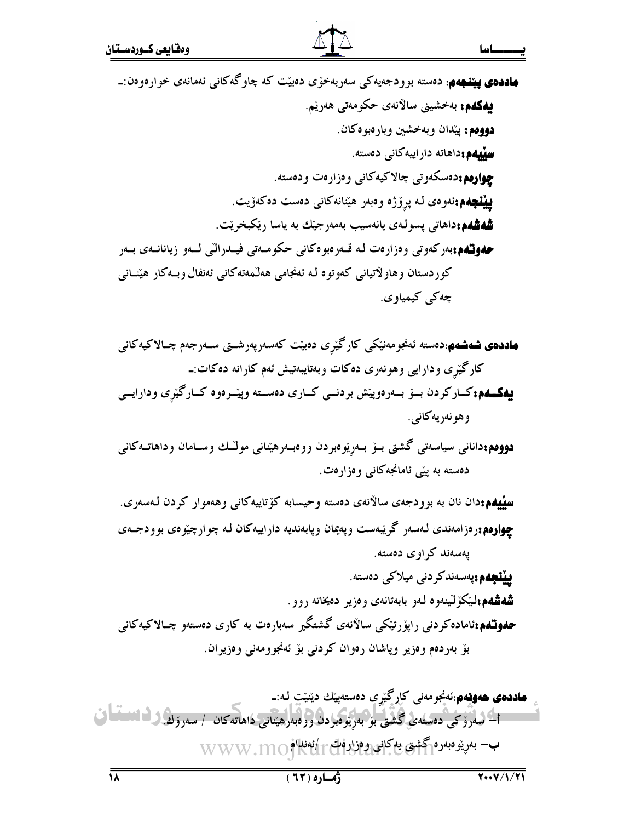**ھاددہی پیننجهم**: دەستە بوړدجەيەك<sub>ى</sub> سەربەخۆی دەبیّت كە چاوگەكانى ئەمانەی خوارەوەن:ــ **پهگهم:** بەخشینی سالانەی حکومەتى ھەریم. دووهم: پيدان وبهخشين وبارەبوەكان. **سیّیهم:**داهاته داراییهکانی دهسته. **چوارهم:د**ەسكەوتى چالاكيەكانى وەزارەت ودەستە. **پینجهم:**ئەوەي لـه پرۆژە وەبەر هیّنانەكانى دەست دەكەۆيت. **شەشەم:**داھاتى پسولەى يانەسيب بەمەرجێك بە ياسا رێكبخرێت. **حەوتتەم:**بەركەوتى وەزارەت لە قـەرەبوەكانى حكومـەتى فيــدرالى لــەو زيانانــەي بــەر كوردستان وهاولاتياني كەوتوە لـه ئەنجامى هەلىمەتەكانى ئەنفال وبــەكار هيّنــانى چەكى كېمپاوى.

**ھاددەي شەشەم**:دەستە ئەنجومەنێكى كارگێرى دەبێت كەسەرپەرشىتى سـەرجەم چـالاكيەكانى کارگیری ودارایی وهونهری دهکات وبهتایبهتیش ئهم کارانه دهکات:ــ **بهکــهم:**کــارکردن بــۆ بــهرهوپێش بردنــی کــاری دهســته وپێــرهوه کــارگێری ودارایــی و هو نهر په کاني .

**دوودم:**دانانی سیاسەتی گشتی بــۆ بــەرِی٘وەبردن ووەبــەرھیٚنانی مولّــك وســامان وداھاتــەكانی دهسته به ییّی ئامانجهکانی و هزار هت.

**سييهم:**دان نان به بوودجهى سالانهى دەسته وحيسابه كۆتاييهكانى وهەموار كردن لـهسەرى. **چوارهم:**رەزامەندى لەسەر گريبەست وپەيمان وپابەنديە داراييەكان لـه چوارچيوەي بوودجــەي پەسەند كراوى دەستە.

**ييْنْچەم:**پەسەندكردنى ميلاكى دەستە. **شەشەم؛**لیکۆلینەوە لەو بابەتانەى وەزیر دەيخاتە روو. **حهوتـهم:**ئامادەکردنى رايۆرتيْکى سالانەي گشتگير سەبارەت بە کارى دەستەو چـالاكيەكانى بۆ بەردەم وەزير وپاشان رەوان كردنى بۆ ئەنجوومەنى وەزيران.

ماددهی هموټهم:ئەنجومەنى كارگێرى دەستەپێك دێنێت لە:ـ اَک لسەرۆکى دەستەى گىشتى بۆ بەرتوەبردن ووەبەرھىنانى داھاتەكان / سەرۆك كىشىنسان ق ب– بەريوەبەرە گشتى يەكانى روەزارۇت مەكتىنداۋە WWW .MO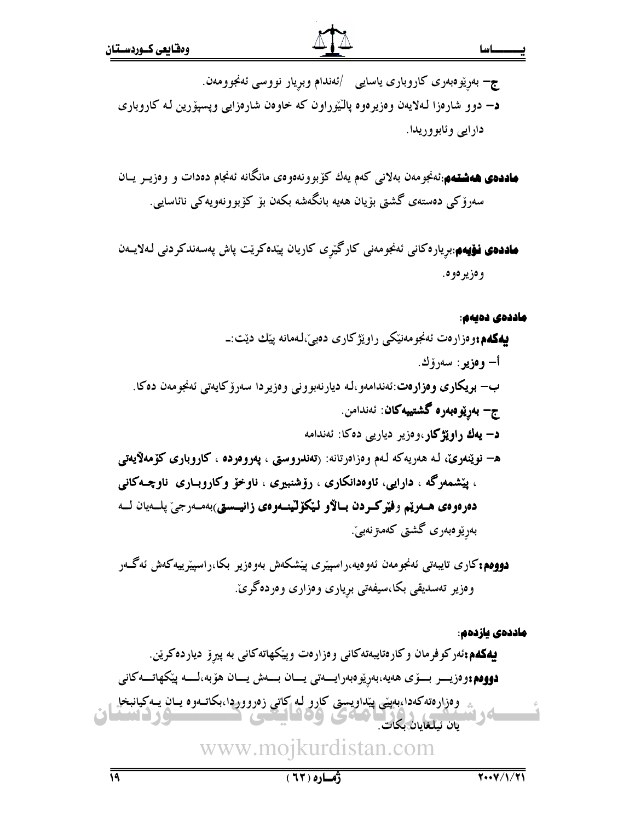ج– بەرێوەبەرى كاروبارى ياسايى /ئەندام وبريار نووسى ئەنجوومەن. د– دوو شارەزا لەلايەن وەزيرەوە پالێوراون كە خاوەن شارەزايى وپسپۆرين لە كاروبارى دارایی وئابووریدا.

**صاددهی ههشتهم**:ئەنجومەن بەلان<sub>ی</sub> کەم يەك كۆبوونەەوەی مانگانە ئەنجام دەدات و وەزيــر يــان سەرۆكى دەستەي گشتى بۆيان ھەيە بانگەشە بكەن بۆ كۆبوونەويەكى نائاسايى.

**ھاددەي نۆيەم** بريارەكانى ئەنجومەنى كارگێرى كاريان پێدەكرێت پاش پەسەندكردنى لـەلايــەن وەزيرەوە.

#### ماددەى دەيەم:

**بیهگهم:**وەزارەت ئەنجومەنىكى راوپژكارى دەبى،لەمانە پیْك دیْت:ــ أ– وەزير : سەرۆك. ب- بریکاری وهزارهت:ئەندامەو،لە ديارنەبوونی وەزيردا سەرۆكايەتی ئەنجومەن دەكا. ج– بەريو ەبەرە گشتىيەكان: ئەندامن. د– يەك راويژگار،وەزير دياريى دەكا: ئەندامە ه– نوينموي، لـه هەريەكە لـهم وەزاەرتانە: (تەندروستى ، پەروەردە ، كاروبارى كۆمەلايەتى ، پێشمەرگە ، دارایی، ئاوەدانكارى ، رۆشنبیرى ، ناوخۆ وكاروبــارى ناوچــەكانى دەرەوەي ھــەرێم وفێركــردن بــالاو لێكۆلێنــەوەي زانيــستى)بەمــەرجىّ پلــەيان لــە بەرێوەبەرى گشتى كەمىزنەبىٚ.

**دووەم:**كارى تايبەتى ئەنجومەن ئەوەيە،راسپیرى پیشكەش بەوەزىر بكا،راسپیرىيەكەش ئەگـەر وەزیر تەسدیقی بکا،سیفەتی بریاری وەزاری وەردەگریّ.

ماددەى يازدەم:

**بیهکهم:**ئەرکوفرمان وکارەتايبەتەکانی وەزارەت وپێکهاتەکانی بە پیرۆ دیاردەکرێن. **دوومم:**وەزيــــر بــــۆي ھەيە،بەرێوەبەرايــــەتى يــــان بــــەش يــــان ھۆبە،لـــــە پێكھاتــــەكانى

وەزارەتەكەدا،بەينى پيداويستى كارو لەكاتى زەرووردا،بكاتـەوە يـان يـەكيانبخا يان ئىلغايان بكات.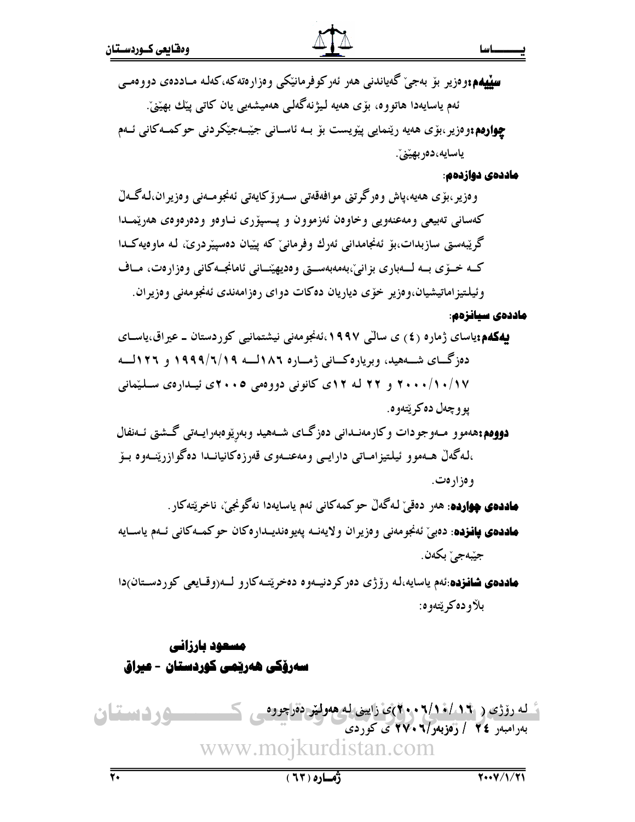ماددەي دوازدەم:

و هزير ،ٻۆي هەيە،پاش و ەرگرتني موافەقەتى سـەرۆكاپەتى ئەنجومـەنى و ەزيران،لـەگـەلْ كەسانى تەبيعى ومەعنەويى وخاوەن ئەزموون و پـسپۆرى نـاوەو ودەرەوەي ھەرپىمـدا گریبمستی سازبدات،بۆ ئەنجامدانی ئەرك وفرمانی٘ كە پێيان دەسپیردریٰ، لـه ماوەيەكـدا کـه خــۆی بــه لـــهباری بزانی،بهمهبهســتی وهدیهپێنــانی ئامانجــهکانی وهزارهت، مــاف وئيلـتيز اماتيشيان،و دزير خوّى دياريان ده كات دو اي روز امهندي ئهنجو مهنى و دزير ان.

#### ماددەى سيانزەم:

**بیهکهم:**یاسای ژماره (٤) ی سالّی ۱۹۹۷،ئەنجومەنی نیشتمانیپی کوردستان ــ عیراق،یاســای دهزگسای شسههید، وبویاره کسانی ژمساره ۱۸۲لسه ۱۹۹۹/۲/۱۹ و ۱۲۲لسه ۱۷/۱۰/۱۰/۱۷ و ۲۲ له ۱۲ک کانونی دووهمی ۲۰۰۵ک ئیسدارهی سیلینمانی يو و چهل ده که پښهو ه.

**دووهم:**ههموو مـهوجودات وكارمهنـداني دەزگـاي شـههيد وبهرێوەبەرايــەتى گـشتى ئــەنفال ،لـهگەڵ هــهموو ئیلـتیزامــاتبی دارایــی ومەعنـــهوی قەرزەکانیانــدا دەگوازرێنــهوه بــۆ وەزارەت.

**ھاددەي چۋاردە**: ھەر دەقى ّلەگەڵ حوكمەكانى ئەم ياسايەدا نەگونجىم ، ناخرىتتەكار .

**ماددهی پانزده**: دهبیِّ ئەنجومەنی وەزیران ولایەنــه یەیوەندیــدارەکان حوکمــهکانی ئــهم یاســایه جێبەجىٚ بكەن.

**ماددهی شانبزده** نَهم یاسایه،له روّژی دهرکردنیـهوه دهخریّتـهکارو لــه(وقـایعی کوردسـتان)دا بلأو دەكرېيتەوە:

مسعود بارزاني سەرۆكى ھەرپىمى كوردستان - عيراق

<sup>5</sup> له روزي ( ۱.۴ /۱۰ (۲ ۰ ۰ )ي زايين له ه**هوليز د**فراچووه وردستان بهرامبهر ٢٤ / رفزبهر/٣ ٢٧٠ ي كوردي www.moikurdistan.com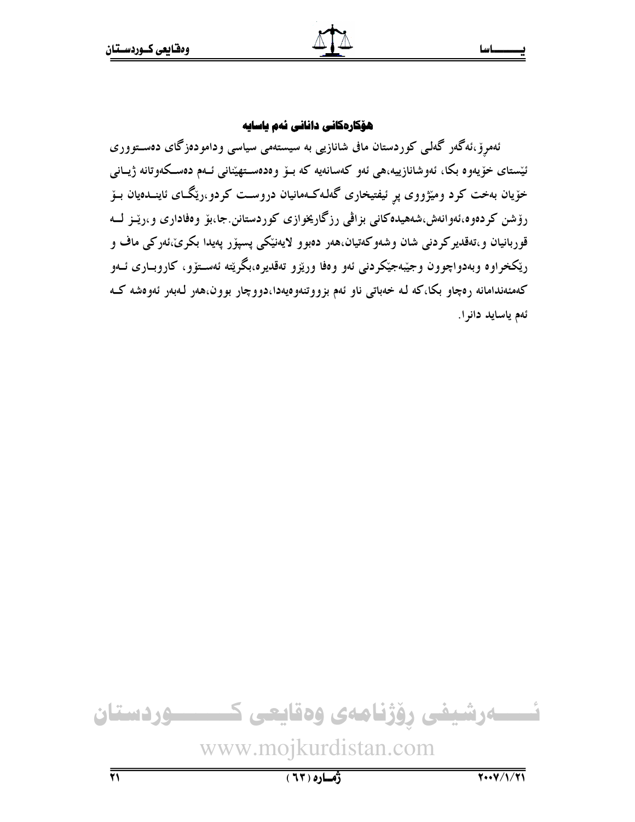## هۆكارەكانى دانانى ئەم ياسايە

ئەمرۆ،ئەگەر گەلىي كوردستان مافى شانازىي بە سيستەمى سياسى ودامودەزگاى دەسـتوورى ئیستای خۆپەوە بکا، ئەوشانازىيە،ھى ئەو كەسانەيە كە بىۆ وەدەسـتھینانى ئـەم دەسـكەوتانە ژيـانى خۆیان بەخت کرد ومیژووی پر ئیفتیخاری گەلـەکــەمانیان دروســت کردو،ریْگــای ئاینــدەیان بــۆ رۆشن كردەوە،ئەوانەش،شەھيدەكانى بزاڤى رزگاريخوازى كوردستانن جا،بۆ وەفادارى و،رێــز لـــه قوربانيان و،تەقدير كردنى شان وشەوكەتيان،ھەر دەبوو لايەنێكى پسپۆر پەيدا بكرى،ئەركى ماف و رێکخراوه وبهدواچوون وجێبهجێکردنی ئەو وەفا ورێزو تەقدیرە،بگرێته ئەسـتۆو، کاروبــاری ئــەو کهمئهندامانه رهچاو بکا،که لـه خهباتبي ناو ئهم بزووتنهوهيهدا،دووچار بوون،ههر لـهبهر ئهوهشه کـه ئەم ياسايد دانرا.

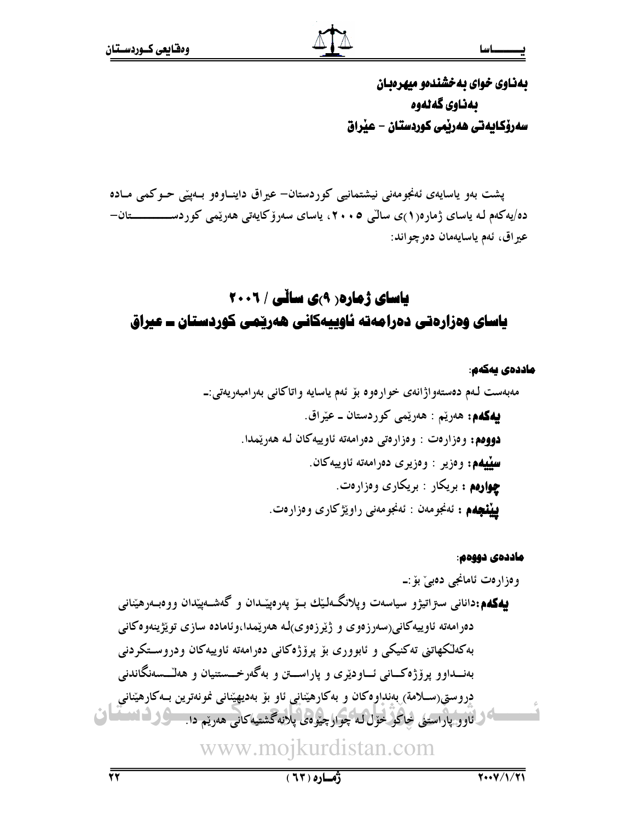## بهناوی خوای به خشندهو میهرهبان بەناوي گەلەوە سەرۆكايەتى ھەربىي كوردستان – عيراق

یشت بهو پاسایهی ئهنجومهنی نیشتمانیی کوردستان- عیراق داینساوهو بسهینی حسوکمی مباده دە/يەكەم لـە ياساي ژمارە(١)ي سالىّ ٢٠٠٥، ياساي سەرۆكايەتى ھەرپىمى كوردىســــــــــــان-عير اق، ئەم ياسايەمان دەرچو اند:

## یاسای ژهاره (۹)ی ساڵی / ۲۰۰۲ یاسای وەزارەتى دەرامەتە ئاوييەكانى ھەرپمى كوردستان ــ عیراق

#### ماددەى يەكەم:

#### ماددەى دووەم:

## W W W.IIIO | KUI UIStail.COIII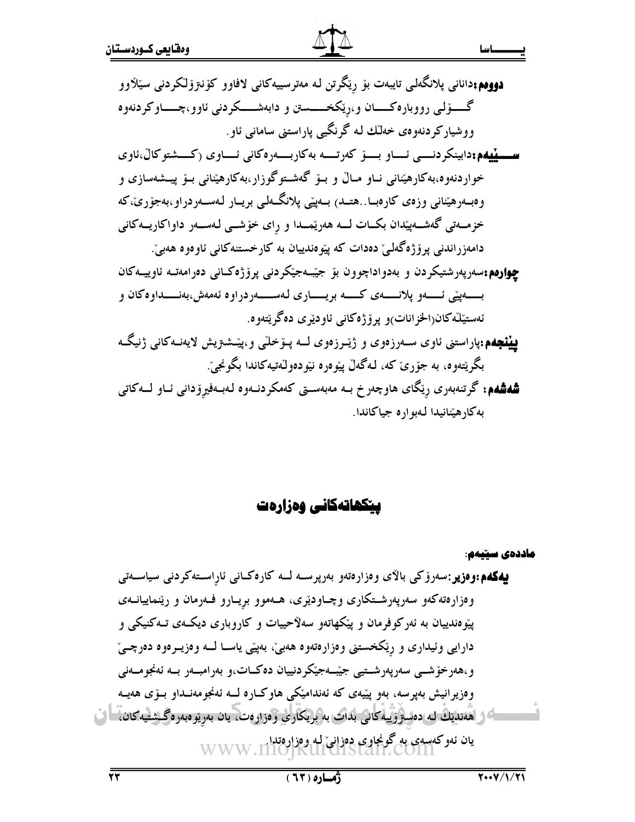#### ساسا

**دوومم:**دانانی پلانگەلی تایبەت بۆ رێگرتن لـه مەترسییەکانی لافاوو کۆنىزۆلكردنی سێلاوو گــــۆلـى رووبارەكـــــان و،رێكخــــــستن و دابەشـــــكردنى ئاوو،چــــاوكردنەوە ووشیارکو دنهوهي خهاٽك لـه گونگيبي پاراستني ساماني ئاو . **سیسلمه د**وابینکردنسے ئیاو بسوّ که تسبه بهکاربسهره کانی ئیاوی (کسشتوکال،ئاوی خواردنهوه،بهکارهپنانی نـاو مـالٌ و بـۆ گەشـتوگوزار،بهکارهپنانی بـۆ پيـشەسازى و وەبــەرھێنانى وزەي كارەبــا . ھتــد) بــەپێي پلانگــەلـي بريــار لـەســەردراو،بەجۆرى،كە خزمــهتى گەشــەپێدان بكــات لـــه هەرێمــدا و راى خۆشــى لـەســەر داواكاريـــەكانى دامەزراندنى پرۆژەگەلى دەدات كە پێوەندييان بە كارخستنەكانى ئاوەوە ھەبىّ. **جوارهم:**سهریهرشتیکردن و بهدواداچوون بۆ جیبهجیکردنبی پرۆژەکµنبی دەرامەتــه ئاوپیــهکان بـــــــهییی ئـــــــهو پلانــــــهی کـــــه بریـــــاری لـهســـــهردراوه ئهمهش،بهنـــــداوهکان و ئەستێڵەكان(الخزانات)و يرۆژەكانى ئاودێرى دەگرێتەوە. **دینمجهم:**یاراستنی ئاوی سـهرزەوی و ژێـرزەوی لــه پـۆخلنی و،پێـشـتزیش لایەنــهکانی ژنیگـه بڳريتهوه، به جوْرِي که، لهڱهل پيووره نيودهولٽهتيهکاندا بڳونجي. **شەشەم:** گرتنەبەرى رێگاى ھاوچەر خ بــە مەبەســتى كەمكردنــەوە لـەبــەفيرۆدانى ئــاو لـــەكاتى به کار هینانیدا لهبواره جیاکاندا.

يتكهاتهكاني وهزاردت

ماددەى سىيەم: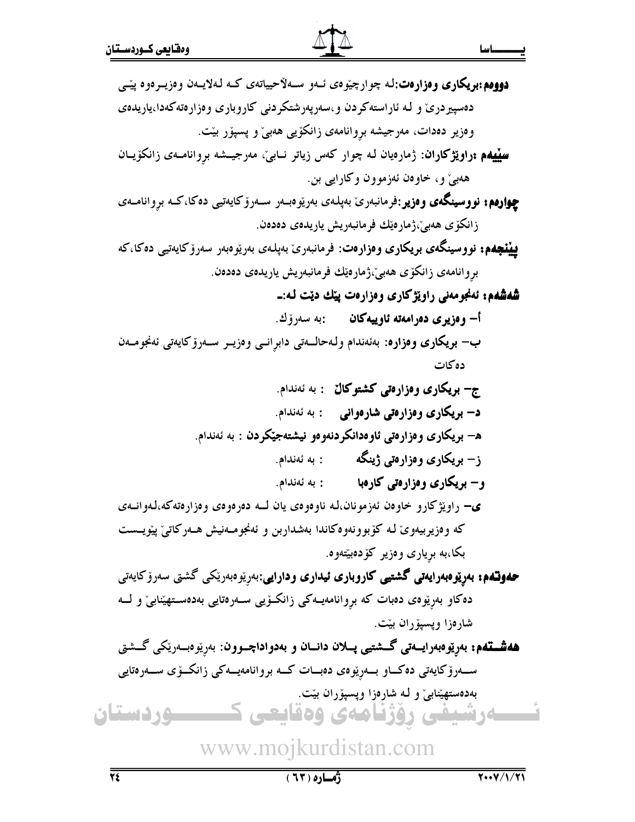**دووهم:بریکاری وهزارهت:**له چوارچیّوهی ئـهو سـهلاّحییاتهی کـه لـهلایــهن وهزیــرهوه پیّــی دهسپیر دری و لـه ئاراسته کردن و ،سهریهرشتکردنی کاروباری و هزارهته کهدا،پاریدهی وهزیر دهدات، مهرجیشه بروانامهی زانکۆیی ههبیؒ و پسیۆر بیّت. **سِیْیهم :راویْژکاران**: ژمارەیان لـه چوار کهس زیاتر نـابی، مەرجیــشه بروانامــهی زانکۆیــان ههييٌ و، خاوفن ئهزموون وكارايي بن. **چوارەم: نووسینگەی وەزیر**:فرمانبەریٰ بەپلەی بەرێوەبـەر سـەرۆكايەتیبی دەكا،كـە بروانامــەی زانكۆي ھەبى،ژمارەتك فرمانبەريش ياريدەي دەدەن. **بیپنجهم: نووسینگەی بریکاری وەزارەت**: فرمانبەری بەپلەی بەرپوەبەر سەرۆکايەتیبی دەکا،کە بروانامەي زانكۆي ھەبى،ژمارەێك فرمانبەريش ياريدەي دەدەن. شدشدم: ئەنجومەنى راوێژكارى وەزارەت پێك دێت لـه:۔ أ- و ەزيرى دەرامەتە ئاوييەكان ھىنبە سەرۆك. ب- بریگاری وەزارە: بەئەندام ولەحالــەتی دابرانـی وەزيـر ســەرۆكايەتی ئەنجومــەن دەكات ج– بریکاری وهزارهتی کشتوکال : به نهندام. د- بریکاری وهزارهتی شارهوانی معمونه نفاندام. ه– بريكارى وەزارەتى ئاوەدانكردنەوەو نيشتەجێكردن : بە ئەندام. ز– بریکاری و**هزارهتی ژینگه پخ**شدام. و– بریکاری وهزارهتی کارهبا : به ئەندام. ی- راویژگارو خاوهن ئەزمونان،له ناوەوەی يان لـه دەرەوەی وەزارەتەكە،لەوانـەی که وەزيربيەوێ لـه کۆبوونەوەکاندا بەشداربن و ئەنجومـەنيش هــەرکاتىؒ پێويــست بکا،به بریاری وهزیر کۆدەبپیتەوه. **حەوتتەم: بەرێوەبەرايەتى گشتيى كاروبارى ئيدارى ودارايى**:بەرێوەبەرێکى گشتى سەرۆكايەتى ده کاو بهریووی دهبات که بروانامهیـهکی زانکـویی سـهرهتایی بهدهسـتهینابی و لــه شارهزا ويسيؤران بيّت. **ههشــتهم: بەرپوەبەرايــەتى گـــشتيى پـــلان دانـــان و بەدواداچــوون:** بەرپووبــەريكى گـــشتى ســەرۆكايەتى دەكــاو بــەرِيْوەى دەبــات كــە بروانامەيــەكى زانكــۆى ســەرەتايى بهدهستهینابی و له شارهزا ویسیؤران بیّت. <u>-وردستان</u> ــــەرشیفی روژنامەی وەقايعی 5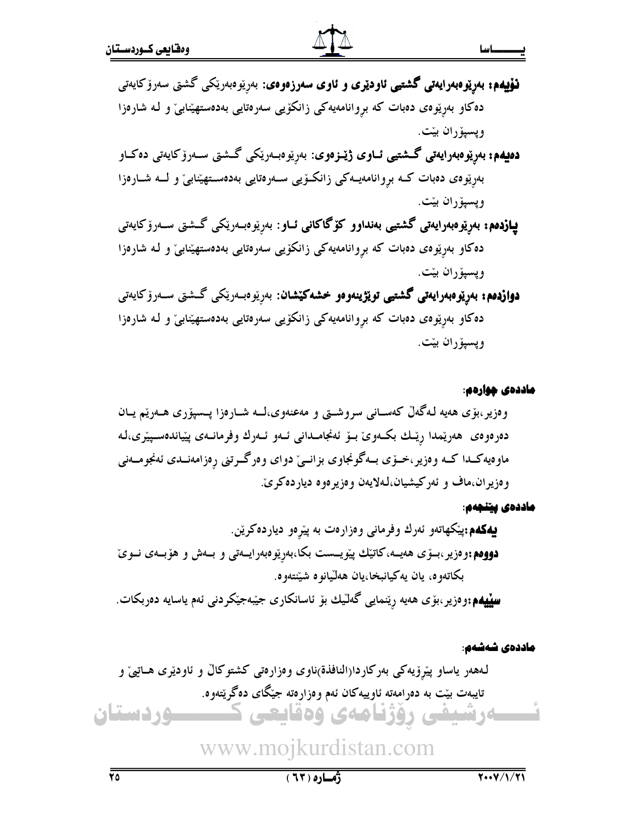- **نـۆيەم: بەرێوەبەرايەتى گشتيى ئاودێرى و ئاوى سەرزەوەي**: بەرێوەبەرێکى گشتى سەرۆكايەتى ده کاو بهریووی دهبات که بروانامهیهکی زانکویی سهرهتایی بهدهستهینابی و له شارهزا ويسيۆران بێت.
- **دەيەم: بەريوەبەرايەتى گـــشتيى ئــاوى ژێــزەوى**: بەريوەبــەرێكى گـــشتى ســەرۆكايەتى دەكــاو بەرپوەي دەبات كــه بروانامەيــەكى زانكــۆيى ســەرەتايى بەدەســتهينابى و لـــه شــارەزا وپسپۆران بێت.
- **پازدەم: بەرپوەبەرايەتى گشتيى بەنداوو كۆگاكانى ئــاو**: بەرپوەبـەرپكى گــشتى ســەرۆكايەتى دەكاو بەرێوەى دەبات كە بروانامەيەكى زانكۆيى سەرەتايى بەدەستهێنابىٚ و لـە شارەزا وپسپۆران بێت.
- **دواژدەم: بەرێوەبەرايەتى گشتيى توێژپنەوەو خشەكێشان**: بەرێوەبـەرێکى گــشتى ســەرۆكايەتى ده کاو بهریوهی دهبات که بروانامهیهکی زانکویی سهرهتایی بهدهستهینابی و لـه شارهزا ويسيۆران بێت.

#### ماددەي چوارەم:

ماددهى يينجهم:

**بیهکهم:**پیکهاتهو ئهرك وفرمانی وهزارهت به پیّرهو دیاردهکریّن. **دووهم:**وەزیر،بــۆی هەيــە،کاتێك پێويــست بكا،بەرێوەبەرايــەتى و بــەش و هۆبــەی نــویّ بكاتهوه، يان يهكيانبخا،يان هەلىيانوه شيىنتەوه.

**سیپیهم:**وەزیر،بۆی هەیە رینمایی گەلتیك بۆ ئاسانكارى جیبەجیكردنی ئەم یاسایە دەربكات.

ماددەى شەشەم:

لـههەر ياساو پێرِۆيەكى بەركاردا(النافذة)ناوى وەزارەتى كشتوكاڵ و ئاودێرى هــاتيىٚ و تایبهت بیّت به دهرامهته ئاوییهکان ئهم وهزارهته جی٘گای دهگری٘تهوه. <u>-وردستان</u> ےرشیفی روژنامەی وەقايعی 5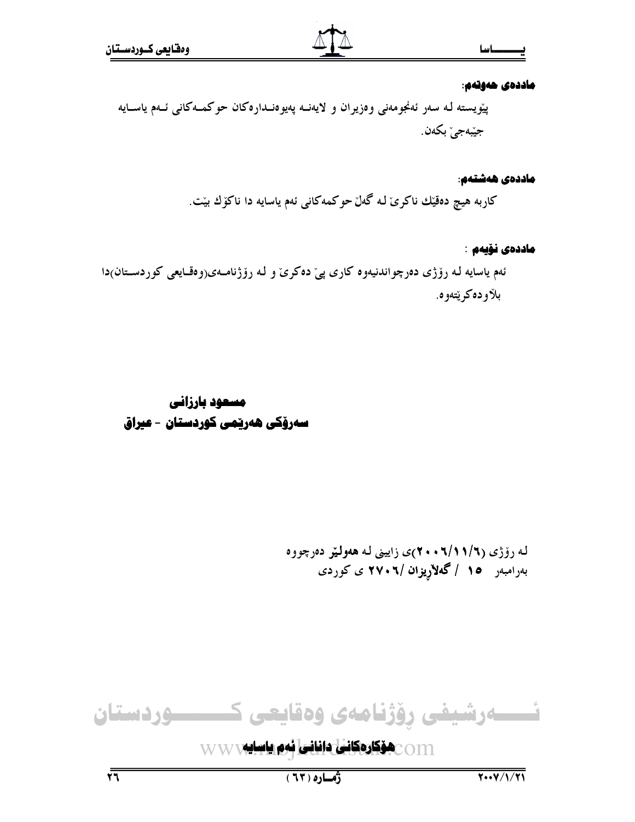## <u>يــــــــا</u>سا

#### ماددەى ھەوتەم:

پێویسته له سهر ئهنجومهنی وهزیران و لایهنـه پهیوهنـدارهکان حوکمـهکانی ئـهم یاسـایه جێبەجىٰ بكەن.

## ماددەى ھەشتەم:

کاربه هیچ دەقێك ناكرىٰ لـه گەلْ حوكمەكانى ئەم ياسايە دا ناكۆك بێت.

## ماددەى ئۆيەم :

ئەم ياسايە لـه رۆژى دەرچواندنيەوە كارى پيّ دەكرىّ و لـه رۆژنامــەي(وەقــايعى كوردســتان)دا بلأودەكرێتەوە.

مسعود بارزانى سەرۆكى ھەريىمى كوردستان - عيراق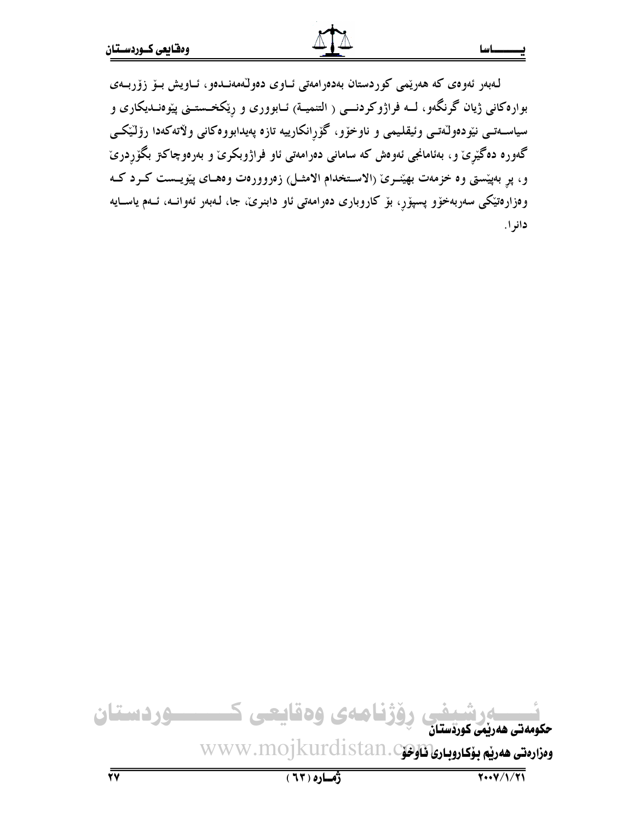لەبەر ئەوەي كە ھەرپمى كوردستان بەدەرامەتى ئىاوى دەولەمەنىدەو، ئىاويش بىۆ زۆربىەي بوارهکانی ژیان گرنگەو، لــه فراژوکردنـــی ( التنمیــة) ئــابووری و رِيْکخــستــنی پيْوەنــديکاری و سیاسـەتـی نێودەولـٚەتـی وئیقلـیمی و ناوخۆو، گۆرانكارییە تازە پەیدابووەكانی ولاّتەكەدا رۆلێكـی گەورە دەگێرىن و، بەئامانجى ئەوەش كە سامانى دەرامەتى ئاو فراژوبكرىن و بەرەوچاكىز بگۆردرىن و، پر بهپێستي وه خزمهت بهێنـرێ (الاسـتخدام الامثـل) زەروورەت وەھـاي پێویــست کــرد کــه وەزارەتێكى سەربەخۆو پسپۆر، بۆ كاروبارى دەرامەتى ئاو دابنرێ، جا، لەبەر ئەوانـە، ئـەم ياسـايە دانرا.

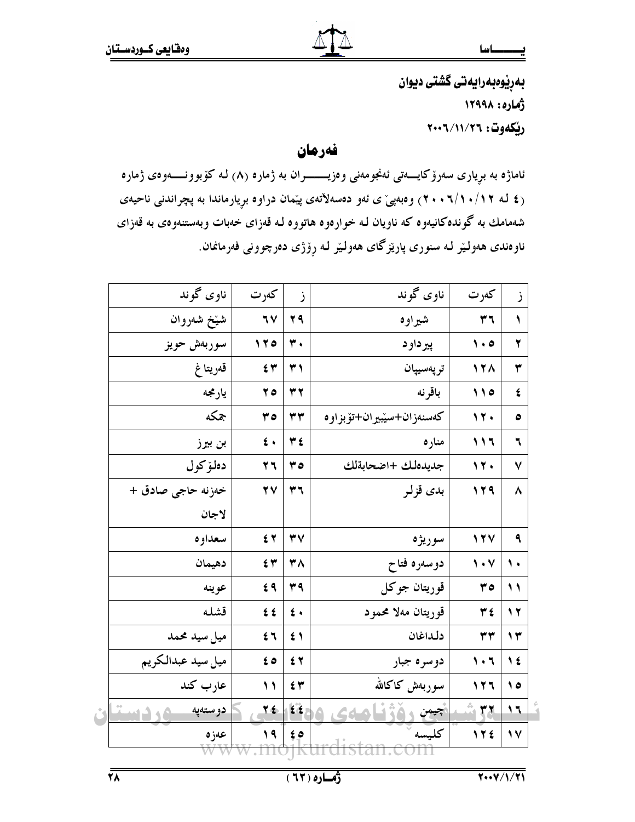بەرپوەبەرايەتى گشتى ديوان أثماره: ١٢٩٩٨ ريكەوت: ٢٠٠٦/١١/٢٦

## فەرمان

ئاماژه به بړیاری سەرۆکایــــەتی ئەنجومەنی وەزیـــــــــران بە ژمارە (٨) لـه کۆبوونـــــەوەی ژمارە (٤ له ١/١٠/١٠/١) وهبهبيٌّ ي ئهو دهسهلأتهي پيّهان دراوه برِيارماندا به پچراندني ناحيهي شهمامك به گونده كانيهوه كه ناويان لـه خوارهوه هاتووه لـه قهزاى خهبات وبهستنهوهى به قهزاى ناوەندى ھەولێر لـه سنورى پارێزگاى ھەولێر لـه رِۆژى دەرچوونى فەرمانمان.

| كەرت                          | ناوي گوند                | ز              | كەرت                  | ناوي گوند         |
|-------------------------------|--------------------------|----------------|-----------------------|-------------------|
| ٣٦                            | شيراوه                   | 29             | 7 <sub>V</sub>        | شيخ شەروان        |
| $\lambda \cdot \rho$          | پیرداود                  | $\mathbf{r}$ . | 170                   | سوربەش حويز       |
| 171                           | ترپەسيپان                | ۳١             | 54                    | قەريتا غ          |
| 110                           | باقرنه                   | 37             | 70                    | يارمجه            |
| 17.                           | كەسنەزان+سيبيران+تۆبزاوە | ٣٣             | 40                    | جمكه              |
| ۱ ۱ ٦                         | منار ه                   | ۳٤             | $\epsilon$ .          | بن بيرز           |
| 17.                           | جديدهلك +اضحابةلك        | ٥٣             | 27                    | دەلۆكول           |
| 129                           | بدى قزلر                 | ٣٦             | <b>YV</b>             | خەزنە حاجى صادق + |
|                               |                          |                |                       | لاجان             |
| 174                           | سوريژه                   | 37             | 54                    | سعداوه            |
| $\mathsf{y} \cdot \mathsf{y}$ | دوسەرە فتاح              | ٣٨             | 54                    | دهيمان            |
| 40                            | قوريتان جوكل             | ۳٩             | 69                    | عوينه             |
| $\forall$ ź                   | قوريتان مەلا محمود       | $\epsilon$ .   | 55                    | قشله              |
| ٣٣                            | دلداغان                  | $\epsilon$ \   | 54                    | میل سید محمد      |
| ۲۰٦                           | دوسره جبار               | ٤٢             | 60                    | ميل سيد عبدالكريم |
| ۲۲٦                           | سوربەش كاكاللە           | $\epsilon$ ۳   | $\mathbf{\backslash}$ | عارب كند          |
| XX                            | أچيمن                    | $\epsilon$     | 26                    | دوستهپه<br>اٹ     |
| 172                           | كليسه                    | ه ٤            | 19                    | عەز ە             |
|                               |                          |                |                       |                   |

W W W.IIIO | KUI UIStail.COIII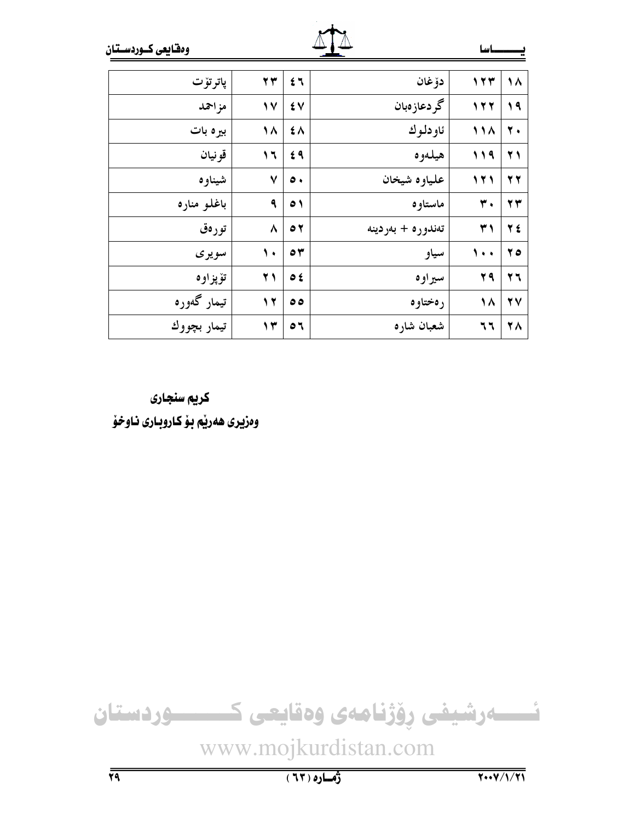| $(75)$ ٥٠            |
|----------------------|
| www.mojkurdistan.com |
|                      |

نسسەرشيفى رۆژنامەي وەقايعى كىسسىردىستان

# كريم سنجارى

وهزيري هەرپم بوْ كاروبارى ناوخوْ

| $\lambda$       | 177            | دۆ غان            | 54                | $\overline{Y}$ | پاترتۆت     |
|-----------------|----------------|-------------------|-------------------|----------------|-------------|
| $\lambda$       | 177            | گردعازەبان        | ٤V                | $\sqrt{ }$     | مزاحمد      |
| $\mathbf{y}$ .  | 111            | ئاودلوك           | ٤٨                | ١٨             | بیره بات    |
| 21              | 119            | هيلەوە            | 69                | ۱٦             | قونيان      |
| 27              | 171            | علياوه شيخان      | $\bullet \bullet$ | ٧              | شيناوه      |
| $\mathbf{y}$    | $\overline{r}$ | ماستاوه           | $\circ$           | ٩              | باغلو مناره |
| 75              | ۳١             | تەندورە + بەردينە | $\circ$           | ٨              | تورەق       |
| 70              | $\lambda$      | سياو              | $\circ$           | ۱۰             | سويري       |
| 27              | 29             | سيراوه            | $\circ$           | 21             | تۆپزاوە     |
| $\mathbf{Y}$    | 18             | ر ەختاو ە         | $\circ$           | 12             | تيمار گەورە |
| $\gamma \wedge$ | ٦٦             | شعبان شاره        | $\circ$           | $\gamma$       | تيمار بچووك |

ATA

 $\frac{1}{1 \cdot \frac{1}{1} \cdot \frac{1}{1} \cdot \frac{1}{1}}$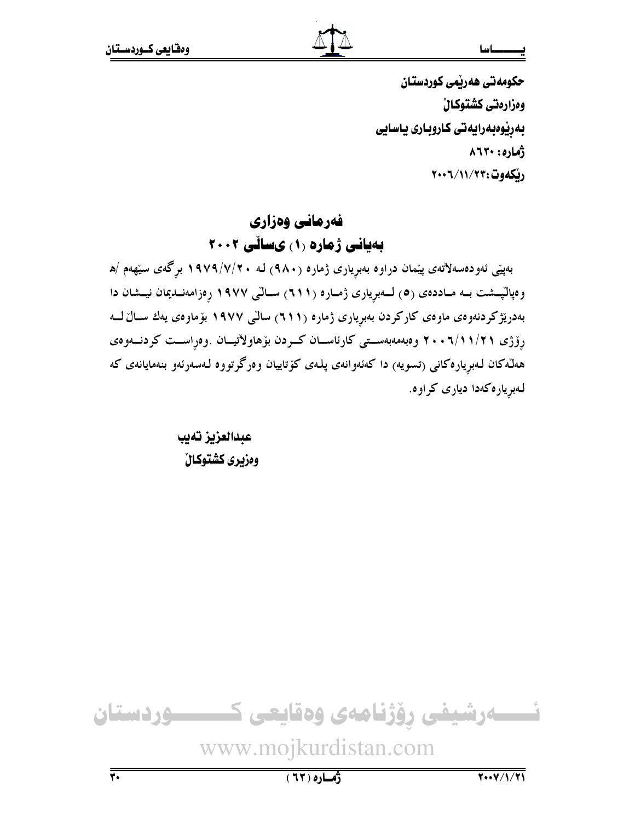حکومەتى ھەرپمى كوردستان ومزارمتي كشتوكال بەرپوەبەرايەتى كاروبارى ياسايى أماره: ٨٦٣٠ ريكەوت:٢٠٠٦/١١/٢٣٠

## فەرمانى وەزارى بهیانی ژماره (۱) یسالّی ۲۰۰۲

بەپێی ئەودەسەلأتەی پێمان دراوە بەبڕياری ژمارە (۹۸۰) لـە ۱۹۷۹/۷/۲۰ برِگەی سێھەم /ھ وهپالپمشت بسه مـادده، (٥) لـــهبرِياري ژمــاره (٢١١) ســالّي ١٩٧٧ رهزامهنــديمان نيــشان دا بەدرێژکردنەوەی ماوەی کارکردن بەبرِياری ژمارە (٦١١) سالْمی ١٩٧٧ بۆماوەی يەك ســالْ لـــە رۆژى ۲۰۱/۱۱/۲۱ وەبەمەبەسىتى كارئاسـان كـردن بۆھاولأتيــان .وەراســت كردنــەوەي هەلّەكان لەبريارەكانى (تسويە) دا كەئەوانەي پلەي كۆتاييان وەرگرتووە لەسەرئەو بنەمايانەي كە لـهبرياره كهدا دياري كراوه.

> عبدالعزيز تهيب ومزيري كشتوكال

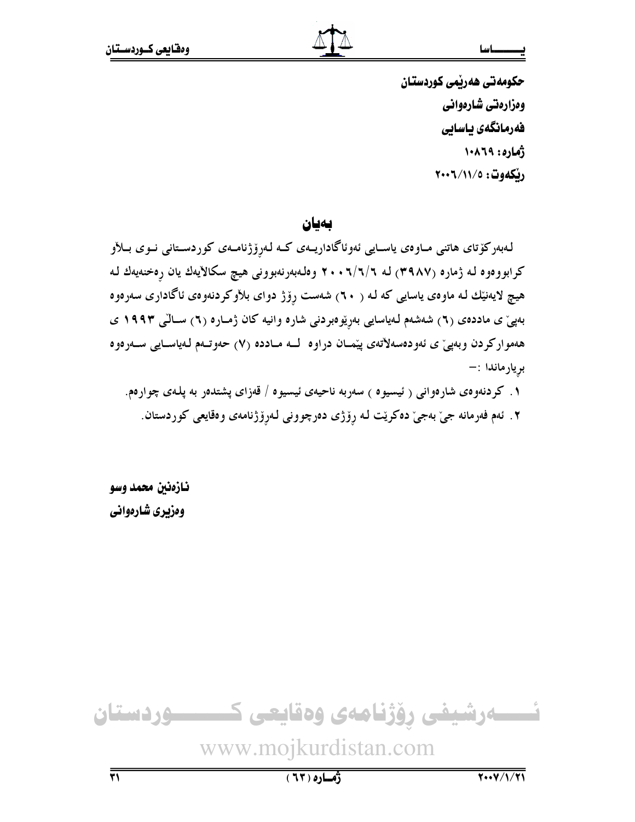حکومەتى ھەرپمى كوردستان ومزارمتي شارمواني فەرمانگەي ياسايى أماره: ١٠٨٦٩ ريكەوت: ٢٠٠٦/١١/٥

بەيان

لەبەركۆتاي ھاتنى مـاوەي ياسـايى ئەوئاگاداريـەي كـە لەرِۆژنامـەي كوردسـتانى نـوي بــلأو کرابووەوە لـه ژمارە (۳۹۸۷) لـه ۲/٦/٦ + ۲۰ وەلـهبەرنەبوونى هيچ سكالأيەك يان رەخنەيەك لـه هیچ لایهنیک لـه ماوهی یاسایی کـه لـه ( ۲۰) شهست روْژ دوای بلاوکردنهوهی ئاگاداری سهرهوه بهپی ٔی ماددهی (۲) شهشهم لهیاسایی بهریوهبردنی شاره وانیه کان ژماره (۲) سـالی ۱۹۹۳ ی هەمواركردن وبەيئ ي ئەودەسەلاتەي پێمـان دراوە كــه مـاددە (٧) حەوتـەم لـەياسـايى ســەرەوە بريارماندا :–

۱. کردنهوهی شارهوانی ( ئیسیوه ) سهربه ناحیهی ئیسیوه / قهزای پشتدهر به پلهی چوارهم. ۲. ئەم فەرمانە جىٰ بەجىٰ دەكريْت لـە رِۆژى دەرچوونى لـەرِۆژنامەى وەقايعى كوردستان.

نازەنبن محمد وسو وهزيري شارهواني

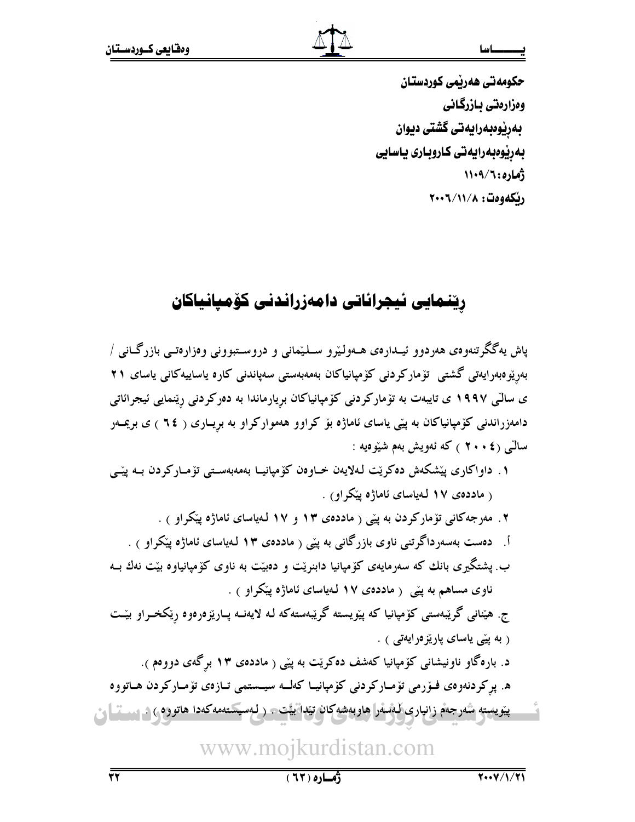حکومەتى ھەربمى كوردستان وەزارەتى بازرگانى بەرپوەبەرايەتى گشتى ديوان بەرپوەبەرايەتى كاروبارى ياسايى *(ثماره: ١١٠٩/٦٠٩* رنكەوەت: ٢٠٠٦/١١/٨

## ریّنمایی ئیجرائاتی دامەزراندنی کۆمپانیاکان

یاش پهگگرتنهوهي ههردوو ئيـدارەي هــهولـێرو ســلـێمانې و دروســتبوونې وەزارەتــې بازرگــانې / بەرپوەبەرايەتى گشتى تۆماركردنى كۆمپانياكان بەمەبەستى سەپاندنى كارە ياساييەكانى ياساي ٢١ ی سالّی ۱۹۹۷ ی تایبهت به تۆمارکردنی کۆمپانیاکان برِیارماندا به دەرکردنی رِیْنمایی ئیجرائاتی دامەزراندنى كۆمپانياكان بە پێي ياساي ئاماژە بۆ كراوو ھەمواركراو بە بريـارى ( ٢٤ ) ي بريمــەر سالىي (٢٠٠٤ ) كه ئەويش بەم شيوەيە :

۱. داواکاری پیشکەش دەکریْت لەلاپەن خـاوەن کۆمیانیـا بەمەبەسـتى تۆمـارکردن بــە پیّــی ( ماددەي ١٧ لەياساي ئاماژە يېڭراو) .

۲. مەرجەكانى تۆماركردن بە يېْي ( ماددەي ۱۳ و ۱۷ لەياساي ئاماژە پێكراو ) . أ. دەست بەسەرداگرتنى ناوى بازرگانى بە يێي ( ماددەي ١٣ لـەياساي ئاماژە يێكراو ) . ب. پشتگیری بانك كه سهرمايهی كۆميانيا دابنريْت و دەبيْت به ناوی كۆمپانياوه بيْت نەك بــه ناوی مساهم به ییّی ( ماددهی ۱۷ لهیاسای ئاماژه ییکواو ) .

ج. هیّنانی گریّبهستی کۆمپانیا که پی٘ویسته گریّبهستهکه لـه لایهنــه پــاری٘زەرەوە ری٘کخــراو بیّــت ( به پێی یاسای پارێزِ ەرايەتى ) .

د. بارهگاو ناونیشانی کوْمیانیا کەشف دەکریْت بە ییّی ( ماددەی ۱۳ برگەی دووەم ).

ه. پرکردنهوهی فـۆرمی تۆمـارکردنی کۆمپانیـا کهلــه سیــستمی تـازەی تۆمـارکردن هـاتووه بيّويسته شەرجةم زانيارى لْمُسْمْرا هاوبەشەكان تيّدا بيّت - ( لـەسپستەمەكەدا ھاتورە ) . ســــــــــا م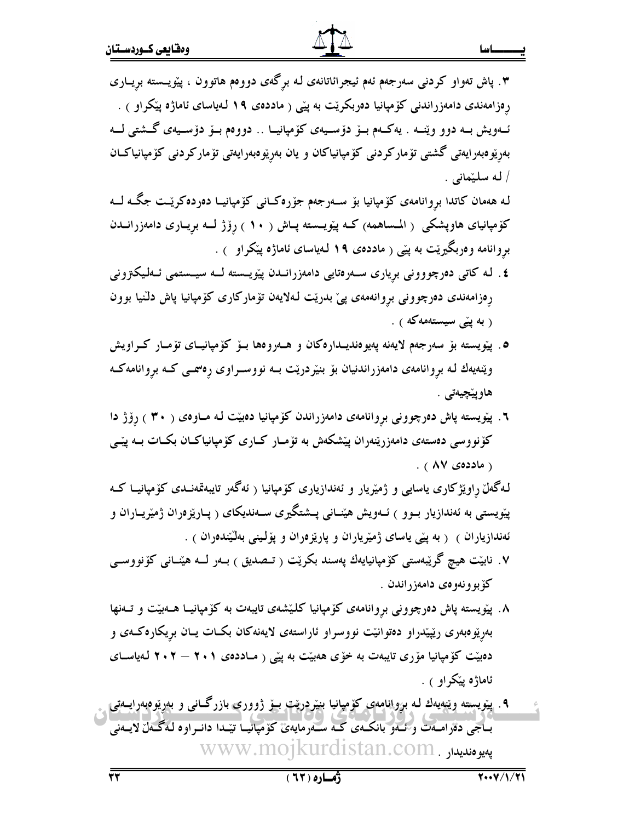۳. پاش تەواو كردنى سەرجەم ئەم ئيجرائاتانەي لـه برگەي دووەم ھاتوون ، پێويــسته بريــارى رەزامەندى دامەزراندنى كۆمپانيا دەربكريْت بە پيْي ( ماددەی ١٩ لەياساى ئاماژە پيْكراو ) . ئــەويش بــه دوو وێنــه . يەكــەم بــۆ دۆســيەي كۆمپانيــا .. دووەم بــۆ دۆســيەي گــشتى لــه بەرێوەبەرايەتى گشتى تۆماركردنى كۆمپانياكان و يان بەرێوەبەرايەتى تۆماركردنى كۆمپانياكـان / له سلیّمانی .

لـه هەمان كاتدا بړوانامەى كۆمپانيا بۆ سـەرجەم جۆرەكـانى كۆمپانيــا دەردەكريّـت جگــه لـــه کۆمپانیای هاوپشکی ( المساهمه) کــه پێویــسته پــاش ( ۱۰ ) رۆژ لـــه بریــاری دامەزرانــدن بروانامه وەربگیرینت به پیْی ( ماددەی ۱۹ لـهیاسای ئاماژه پیْکراو ) .

- ٤. لـه كاتبي دەرچووونى بريارى سـەرەتايى دامەزرانــدن پێويــسته لــه سيــستمى ئــەلـيكتزونى رەزامەندى دەرچوونى بروانەمەي پى بدريْت لـەلايەن تۆماركارى كۆمپانيا پاش دلىنيا بوون ( به ییّی سیستهمهکه ) .
- ٥. پێویسته بۆ سەرجەم لایەنە پەیوەندیـدارەكان و ھـەروەھا بـۆ كۆمپانیـاي تۆمـار كـراویش ویْنەیەك لە بروانامەی دامەزراندنیان بۆ بنیْردریْت بــه نووســراوی رەسمــی كــه بروانامەكــه هاوپێچيەتى .
- ۲. پیّویسته پاش دەرچوونی بږوانامەی دامەزراندن کۆمپانیا دەبیّت لـه مــاوەی ( ۳۰ ) رۆژ دا کۆنووسی دەستەی دامەزرێنەران پێشکەش بە تۆمـار کــاری کۆمپانیاکــان بکــات بــە پێــی . ( ماددەى ۸۷  $)$

لەگەلْ راوێژكارى ياسايى و ژمێريار و ئەندازيارى كۆمپانيا ( ئەگەر تايبەقمەنــدى كۆمپانيــا كــە پێویستی به ئەندازیار بــوو ) ئــەویش هێنــانی پــشتگیری ســەندیکای ( پــارێزەران ژمێریــاران و ئەندازياران ) ( بە پێي ياساي ژمێرياران و پارێزەران و پۆلىنى بەلٽێندەران ) .

- ۷. نابیّت هیچ گریّبهستی کۆمپانیایهك پهسند بكریّت ( تـصدیق ) بـهر لــه هیّنــانی کۆنووســی کۆبو ونەوەي دامەزراندن .
- ۸. پیّویسته پاش دهرچوونی بروانامهی کوْمپانیا کلیّشهی تایبهت به کوْمپانیـا هــهبیّت و تــهنها بەرێوەبەرى رێپێدراو دەتوانێت نووسراو ئاراستەي لايەنەكان بكـات يــان بريكارەكــەي و دهبیّت کوْمپانیا موْری تایبەت بە خوْی هەبیّت بە پیّی ( مـاددەی ۲۰۱ – ۲۰۲ لـەیاســای ئاماژه يێکراو ) .
- ۹. پیویسته وییمیهك له بروانامهی كومپانیا بنیردریت بــو ژووری بازرگــانی و بهریوهبهرایــهتی بـاجی دەرامـەت وڭمو بانكـەي كـە سـەرمايەي كۆمپانيـا تێـدا دانـراوە لـەگـەل لايـەنى www.mojkurdistan.com.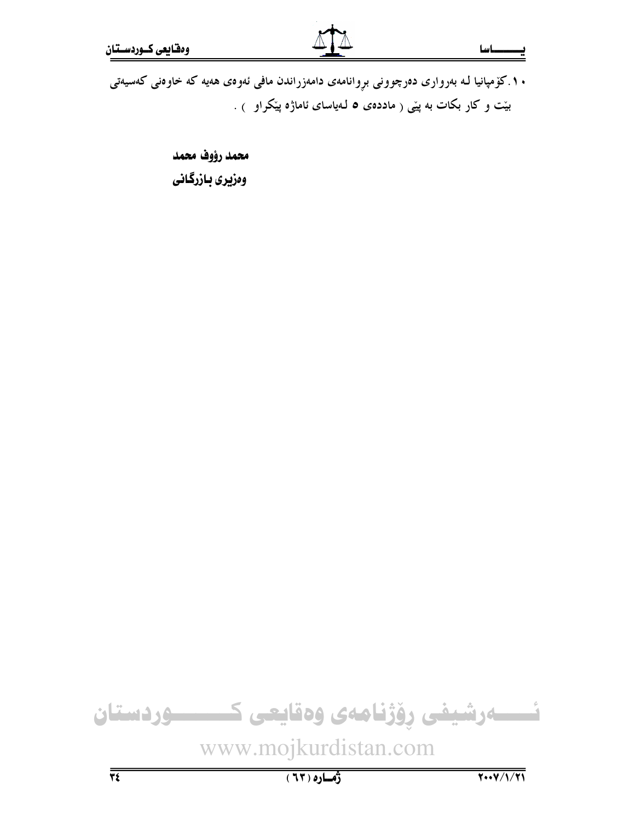صاسا

۰ ۱ . کۆمپانیا لـه بەرواری دەرچوونى بږوانامەی دامەزراندن مافى ئەوەی ھەيە کە خاوەنى کەسپەتى بیّت و کار بکات به پیّی ( ماددهی ۵ لـهیاسای ئاماژه پی٘کراو ) .

> محمد رؤوف محمد وەزيرى بـازرگـانى

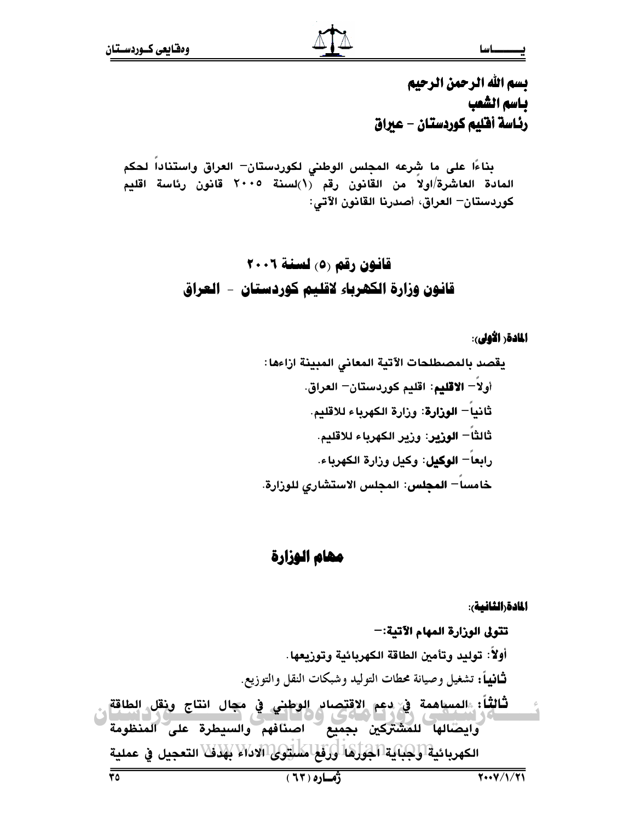## بسم الله الرحمن الرحيم باسم الشعب .<br>رئاسة أفليم كوردستان – عيراق

بناءًا على ما شِرعه المجلس الوطني لكوردستان— العراق واستناداً لحكم المادة العاشرة/اولاً من القانون رقم (١)لسنة ٢٠٠٥ قانون رئاسة اقليم كوردستان– العراق، أصدرنا القانون الآتي:

المادةر الأولى:

## مهام الوزارة

المادة الثانية):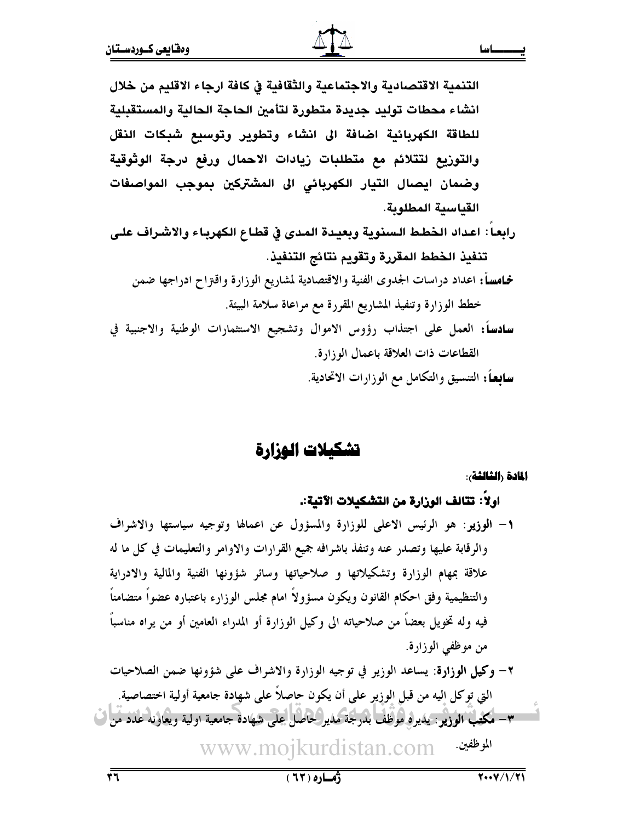التنمية الاقتصادية والاجتماعية والثقافية في كافة ارجاء الاقليم من خلال انشاء محطات توليد حديدة متطورة لتأمين الحاجة الحالية والمستقبلية للطاقة الكهربائية اضافة الى انشاء وتطوير وتوسيع شبكات النقل والتوزيع لتتلائم مع متطلبات زيادات الاحمال ورفع درجة الوثوقية وضمان ايصال التيار الكهربائي الى المشتركين بموجب المواصفات القياسية المطلوبة. رابعا : اعداد الخطط السنوية وبعيدة المدى في قطاع الكهرباء والاشراف على تنفيذ الخطط المقررة وتقويم نتائج التنفيذ. فحامساً: اعداد دراسات الجدوى الفنية والاقتصادية لمشاريع الوزارة واقتراح ادراجها ضمن خطط الوزارة وتنفيذ المشاريع المقررة مع مراعاة سلامة البيئة. **سادساً:** العمل على اجتذاب رؤوس الاموال وتشجيع الاستثمارات الوطنية والاجنبية في القطاعات ذات العلاقة باعمال الوزارة.

**سابعاً:** التنسيق والتكامل مع الوزارات الاتحادية.

## تشكيلات الهزارة

المادة رالشالشة:

ا، لاً: تتالف الوزارة من التشكيلات الآتية:.

١- الوزير: هو الرئيس الاعلى للوزارة والمسؤول عن اعمالها وتوجيه سياستها والاشراف والرقابة عليها وتصدر عنه وتنفذ باشرافه جميع القرارات والاوامر والتعليمات في كل ما له علاقة بمهام الوزارة وتشكيلاتها و صلاحياتها وسائر شؤونها الفنية والمالية والادراية والتنظيمية وفق احكام القانون ويكون مسؤولاً امام مجلس الوزارء باعتباره عضواً متضامناً فيه وله تخويل بعضاً من صلاحياته الى وكيل الوزارة أو المدراء العامين أو من يراه مناسباً من موظفي الوزارة.

٢– وكيل الوزارة: يساعد الوزير في توجيه الوزارة والاشراف على شؤونها ضمن الصلاحيات التي توكل اليه من قبل الوزير على أن يكون حاصلاً على شهادة جامعية أولية اختصاصية. ٣– مكتب الوزير: يديره موظف بدرجة مدير حاصل على شهادة جامعية اولية ويعاونه عدد من ا www.mojkurdistan.com الموظفين.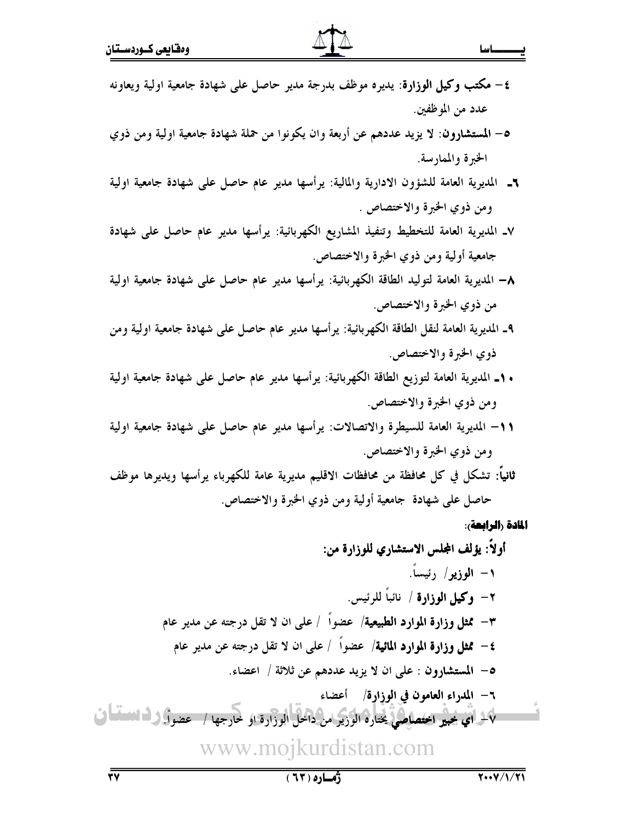- ٤ مكتب وكيل الوزارة: يديره موظف بدرجة مدير حاصل على شهادة جامعية اولية ويعاونه عدد من الموظفين.
- ٥– المستشارون: لا يزيد عددهم عن أربعة وان يكونوا من حملة شهادة جامعية اولية ومن ذوي الحبرة والممارسة.
- ٢\_ المديرية العامة للشؤون الادارية والمالية: يرأسها مدير عام حاصل على شهادة جامعية اولية ومن ذوي الخبرة والاختصاص .
- ٧ـ المديرية العامة للتخطيط وتنفيذ المشاريع الكهربائية: يرأسها مدير عام حاصل على شهادة جامعية أولية ومن ذوي الخبرة والاختصاص.
- ٨– المديرية العامة لتوليد الطاقة الكهربائية: يرأسها مدير عام حاصل على شهادة جامعية اولية من ذوى الخبرة والاختصاص.
- ٩\_ المديرية العامة لنقل الطاقة الكهربائية: يرأسها مدير عام حاصل على شهادة جامعية اولية ومن ذوي الخبرة والاختصاص.
- ١ـ المديرية العامة لتوزيع الطاقة الكهربائية: يرأسها مدير عام حاصل على شهادة جامعية اولية ومن ذوي الخبرة والاختصاص.
- ١١- المديرية العامة للسيطرة والاتصالات: يرأسها مدير عام حاصل على شهادة جامعية اولية ومن ذوى الخبرة والاختصاص.
- ثانيًاً: تشكل في كل محافظة من محافظات الاقليم مديرية عامة للكهرباء يرأسها ويديرها موظف حاصل على شهادة جامعية أولية ومن ذوي الخبرة والاختصاص.

المادة رالرابعة: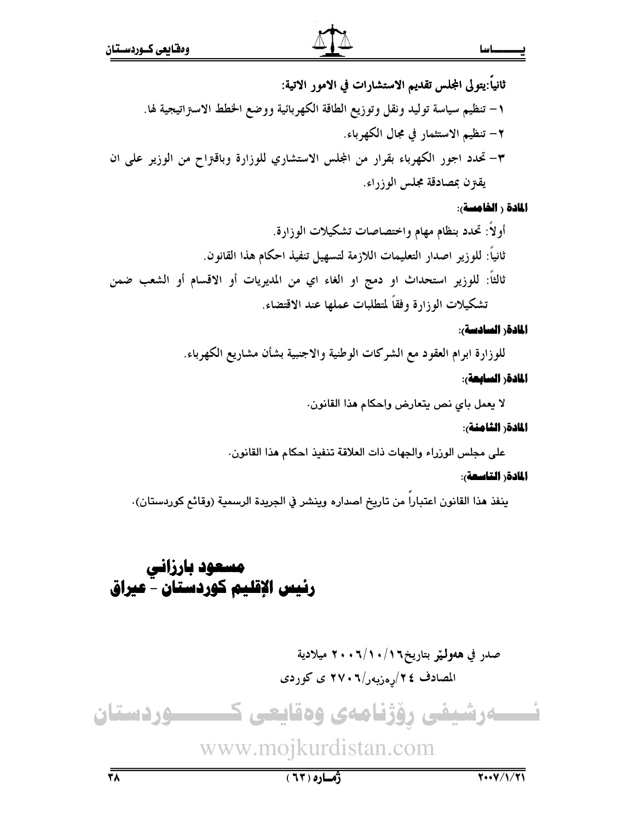ثانياً:يتولى المجلس تقديم الاستشارات في الامور الاتية: ١– تنظيم سياسة توليد ونقل وتوزيع الطاقة الكهربائية ووضع الخطط الاستراتيجية لها. ٢– تنظيم الاستثمار في مجال الكهرباء. ٣- تحدد اجور الكهرباء بقرار من المجلس الاستشاري للوزارة وباقتراح من الوزير على ان يقة ن بمصادقة مجلس الوزراء.

المادة رالخامسة:

المادةر السادسة:

للوزارة ابرام العقود مع الشركات الوطنية والاجنبية بشأن مشاريع الكهرباء.

المادةر السابعة:

لا يعمل باي نص يتعارض واحكام هذا القانون.

المادة الشامنة:

على مجلس الوزراء والجهات ذات العلاقة تنفيذ احكام هذا القانون.

المادةر التاسعة:

ينفذ هذا القانون اعتباراً من تاريخ اصداره وينشر في الجريدة الرسمية (وقائع كوردستان).

## مسعود بارزاني رئيس الإقليم كوردستان – عيراق

صدر في هەولىير بتاريخ١/١٠/١٠/٢٠٠ ميلادية المصادف ٢٤/رِهزبهر/٢٠٦٧ ي كوردي

ئــــــەرشيفى رۆژنامەى وەقايعى كـــــــــوردستان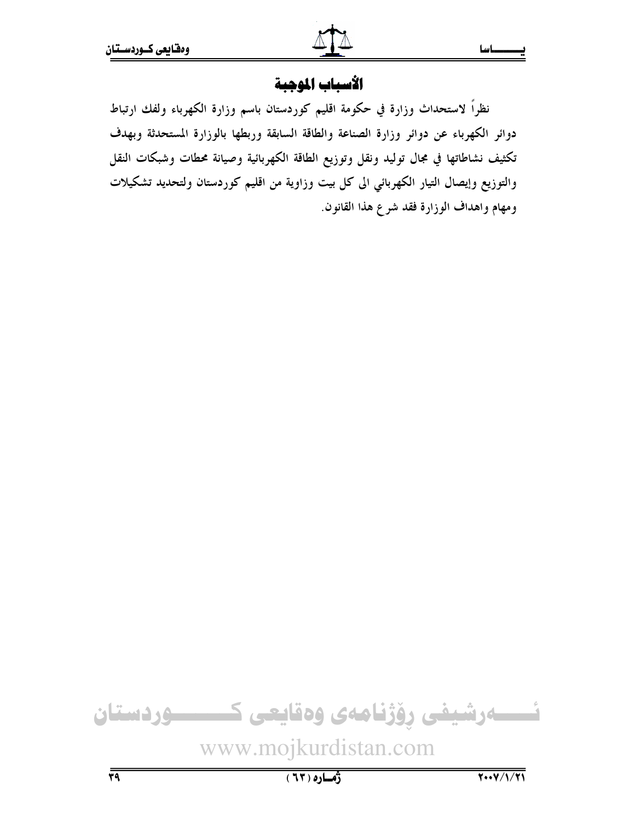## الأسباب الموجبة

نظراً لاستحداث وزارة في حكومة اقليم كوردستان باسم وزارة الكهرباء ولفك ارتباط دوائر الكهرباء عن دوائر وزارة الصناعة والطاقة السابقة وربطها بالوزارة المستحدثة وبهدف تكثيف نشاطاتها في مجال توليد ونقل وتوزيع الطاقة الكهربائية وصيانة محطات وشبكات النقل والتوزيع وإيصال التيار الكهربائي الى كل بيت وزاوية من اقليم كوردستان ولتحديد تشكيلات ومهام واهداف الوزارة فقد شرع هذا القانون.

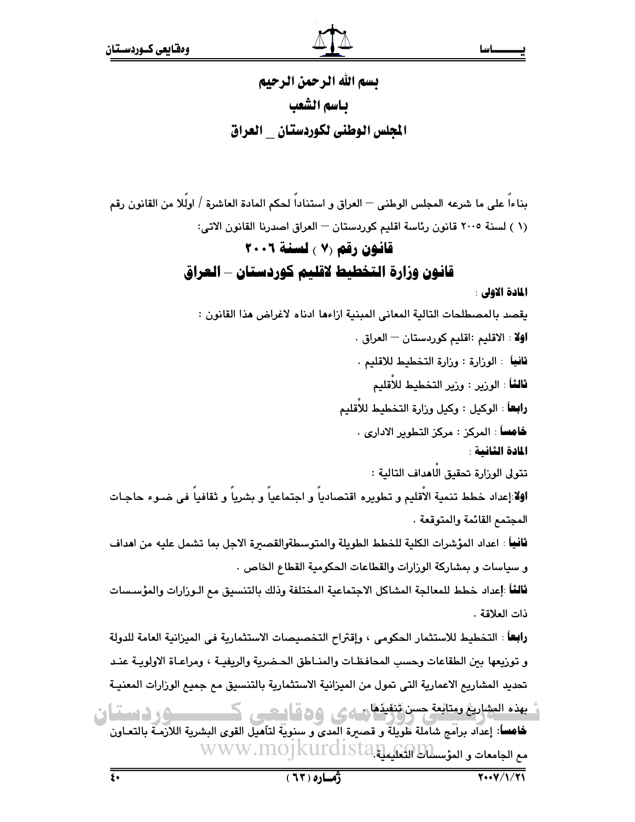## بسم الله الرحمن الرحيم يباسم الشعب الجلس الوطني لكوردستان العراق

بِناءاً على ما شرعه المجلس الوطني ㅡ العراق و استناداً لحكم المادة العاشرة / اولًلا من القانون رقم (١ ) لسنة ٢٠٠٥ قانون رئاسة اقليم كوردستان - العراق اصدرنا القانون الاتي:

## قانون رقم (٧ ) لسنة ٢٠٠٦

## قانون وزارة التخطيط لاقليم كوردستان – العراق

## المادة الاولى :

يقصد بالمصطلحات التالية المعاني المبنية ازاءها ادناه لاغراض هذا القانون :

**اولا** : الاقليم :اقليم كوردستان <sup>—</sup> العراق .

**ثانياً** : الورارة : ورارة التخطيط للاقليم .

**ثالثاً** : الورير : ورير التخطيط للاقليم

**رابعاً** : الوكيل : وكيل وزارة التخطيط للاقليم

**خامساً** : المركز : مركز التطوير الادارى .

المادة الثانسة :

تتولى الوزارة تحقيق اللهداف التالبة :

**اوة**:إعداد خطط تنمية الأقليم و تطويره اقتصادياً و اجتماعياً و بشرياً و ثقافياً في ضـوء حاجـات المجتمع القائمة والمتوقعة .

**ثانيا**ً : اعداد المؤشرات الكلية للخطط الطويلة والمتوسطةوالقصيرة الاجل بما تشمل عليه من اهداف و سياسات و بمشاركة الوزارات والقطاعات الحكومية القطاع الخاص ٠

فالثاً :إعداد خطط للمعالجة المشاكل الاجتماعية المختلفة وذلك بالتنسيق مم الـورارات والمؤسـسات ذات العلاقة .

**رابعاً** : التخطيط للاستثمار الحكومى ، وإقتراح التخصيصات الاستثمارية في الميزانية العامة للدولة و توزيعها بين الطقاعات وحسب المحافظـات والمنــاطق الحـضرية والريفيــة ، ومراعــاة الاولويــة عنـد تحديد المشاريع الاعمارية التي تمول من الميزانية الاستثمارية بالتنسيق مع جميع الوزارات المعنيـة بهذه المشاريخ ومتابعة حسن تنقيذ الصارى ٥٥ قاصيص كمستعسس ووفي المستبان

فاهساً: إعداد برامج شاملة طويلة و قصيرة المدى و سنوية لتأهيل القوى البشرية اللازمـة بالتعـاون مع الجامعات و المؤسسات التعليمية www.mojkurdista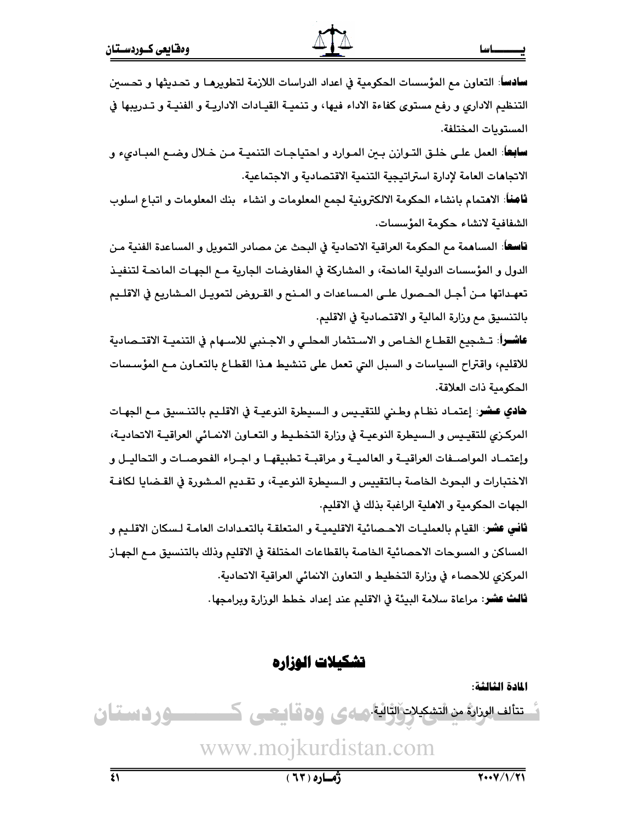$\overline{\mathbf{M}}$ 

**سادساً**: التعاون مم المؤسسات الحكومية في اعداد الدراسات اللازمة لتطويرهـا و تحـديثها و تحـسبن التنظيم الاداري و رفع مستوى كفاءة الاداء فيها، و تنميـة القيـادات الاداريـة و الفنيـة و تـدريبها في المستويات المختلفة.

**سابعاً**: العمل علـى خلـق التـوازن بـين المـوارد و احتياجـات التنميـة مـن خـلال وضـم المبـاديء و الاتجاهات العامة لإدارة استراتيجية التنمية الاقتصادية و الاجتماعية.

**ثاهغاً**: الاهتمام بانشاء الحكومة الالكترونية لجمع المعلومات و انشاء بنك المعلومات و اتباع اسلوب الشفافية لانشاء حكومة المؤسسات.

**تاسعا**ً: المساهمة مم الحكومة العراقية الاتحادية في البحث عن مصادر التمويل و المساعدة الفنية مـن الدول و المؤسسات الدولية المانحة، و المشاركة في المفاوضات الجارية مـم الجهـات المانحـة لتنفيـذ تعهـداتها مـن أجـل الحـصول علـى المـساعدات و المـنح و القـروض لتمويـل المـشاريع في الاقلـيم بالتنسيق مم وزارة المالية و الاقتصادية في الاقليم.

**عاشـر**اً: تـشجيع القطـاع الخـاص و الاسـتثمار المحلـى و الاجـنبي للاسـهام في التنميــة الاقتــصادية للاقليم، واقتراح السياسات و السبل التي تعمل على تنشيط هـذا القطـاع بالتعـاون مـع المؤسـسات الحكومية ذات العلاقة.

حا**دي عشر**: إعتمـاد نظـام وطـني للتقيـيس و الـسيطرة النوعيـة في الاقلـيم بالتنـسيق مـع الجهـات المركـزي للتقيـيس و الـسيطرة النوعيـة في وزارة التخطـيط و التعـاون الانمـائي العراقيـة الاتحاديـة، وإعتمـاد المواصــفات العراقيــة و العالميــة و مراقبــة تطبيقهـا و اجــراء الفحوصــات و التحاليــل و الاختبارات و البحوث الخاصة بـالتقييس و الـسيطرة النوعيـة، و تقـديم المـشورة في القـضايا لكافـة الجهات الحكومية و الاهلية الراغبة بذلك في الاقليم.

**ثاني عشر**: القيام بالعمليـات الاحـصائية الاقليميـة و المتعلقـة بالتعـدادات العامـة لـسكان الاقلـيم و المساكن و المسوحات الاحصائية الخاصة بالقطاعات المختلفة في الاقليم وذلك بالتنسيق مـع الجهـاز المركزي للاحصاء في وزارة التخطيط و التعاون الانمائي العراقية الاتحادية. **ثالث عشر**: مراعاة سلامة البيئة في الاقليم عند إعداد خطط الورارة ويرامجها .

تشكيلات الوزاره

المادة الثالثة:



www.mojkurdistan.com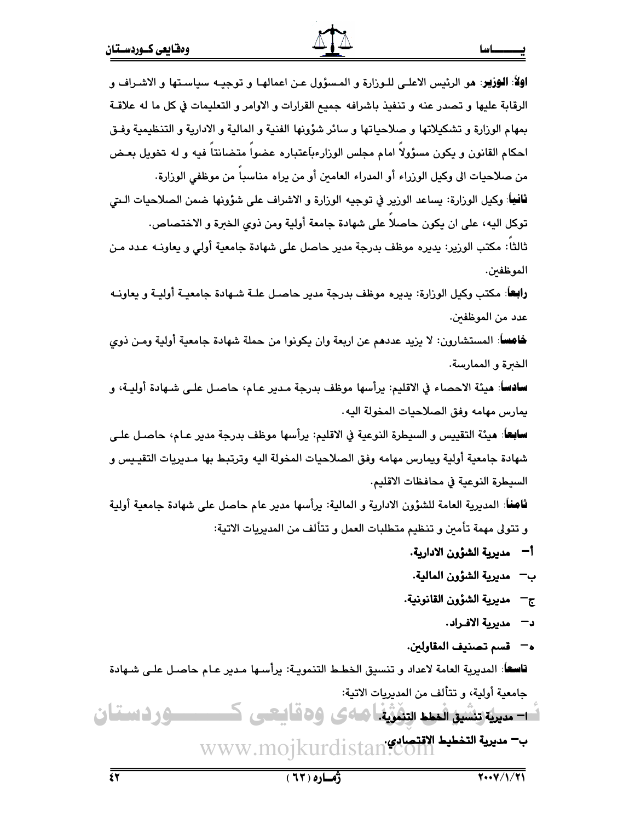#### باسا ≝

| ژماره ( ٦٣ )<br>٤٢                                                                                       | $\sqrt{1.40}$                              |
|----------------------------------------------------------------------------------------------------------|--------------------------------------------|
| ب- مديرية التخطيط الاقتصادي. WWW.mojkurdistan:COM                                                        |                                            |
| ⊢ مديرية تِنْشَيق أَنْطِط التَنْفُوْيَةُ أَهْلُهُ عَلَى وَهِ قَالِيَعْمَى كَسَسَسَسَمَ<br><b>یردستان</b> |                                            |
|                                                                                                          | جامعية أولية، و تتألف من المديريات الاتية: |
| <b>قاسعاً</b> : المديرية العامة لاعداد و تنسيق الخطـط التنمويـة: يرأسـها مـدير عـام حاصـل علـى شـهادة    |                                            |
|                                                                                                          | قسم تصنيف المقاولين.                       |
|                                                                                                          | مديرية الافـراد.<br>د−                     |
|                                                                                                          | مديرية الشؤون القانونية.<br>$-\pi$         |
|                                                                                                          | مديرية الشؤون المالية.                     |
|                                                                                                          | أ−   مديرية الشؤون الادارية.               |
| و تتولى مهمة تأمين و تنظيم متطلبات العمل و تتألف من المديريات الاتية:                                    |                                            |
| <b>ثامناً</b> : المديرية العامة للشؤون الادارية و المالية: يرأسها مدير عام حاصل على شهادة جامعية أولية   |                                            |
|                                                                                                          | السيطرة النوعية في محافظات الاقليم.        |
| شهادة جامعية أولية ويمارس مهامه وفق الصلاحيات المخولة اليه وترتبط بها مديريات التقييس و                  |                                            |
| <b>سابعاً</b> : هيئة التقييس و السيطرة النوعية في الاقليم: يرأسها موظف بدرجة مدير عـام، حاصـل علـى       |                                            |
|                                                                                                          | يمارس مهامه وفق الصلاحيات المخولة اليه.    |
| <b>سادساً</b> : هيئة الاحصاء في الاقليم: يرأسها موظف بدرجة مدير عـام، حاصـل علـى شـهادة أوليـة، و        |                                            |
|                                                                                                          | الخبرة و الممارسة.                         |
| <b>فاهساً</b> : المستشارون: لا يزيد عددهم عن اربعة وان يكونوا من حملة شهادة جامعية أولية ومـن ذوي        |                                            |
|                                                                                                          | عدد من الموظفين.                           |
| <b>رابعاً</b> : مكتب وكيل الوزارة: يديره موظف بدرجة مدير حاصـل علـة شـهادة جامعيـة أوليـة و يعاونـه      |                                            |
|                                                                                                          | الموظفين.                                  |
| ثالثاً: مكتب الوزير: يديره موظف بدرجة مدير حاصل على شهادة جامعية أولي و يعاونـه عـدد مـن                 |                                            |
| توكل اليه، على ان يكون حاصلاً على شهادة جامعة أولية ومن ذوي الخبرة و الاختصاص.                           |                                            |
| <b>ثانياً</b> : وكيل الوزارة: يساعد الوزير في توجيه الوزارة و الاشراف على شؤونها ضمن الصلاحيات الـتي     |                                            |
| من صلاحيات الى وكيل الوزراء أو المدراء العامين أو من يراه مناسباً من موظفي الوزارة.                      |                                            |
| احكام القانون و يكون مسؤولاً امام مجلس الوزارءباًعتباره عضواً متضانتاً فيه و له تخويل بعـض               |                                            |
| بمهام الوزارة و تشكيلاتها و صلاحياتها و سائر شؤونها الفنية و المالية و الادارية و التنظيمية وفـق         |                                            |
| الرقابة عليها و تصدر عنه و تنفيذ باشرافه جميع القرارات و الاوامر و التعليمات في كل ما له علاقــة         |                                            |
| <b>اولاً: الوزير</b> : هو الرئيس الاعلـى للـوزارة و المـسؤول عـن اعمالهـا و توجيـه سياسـتها و الاشـراف و |                                            |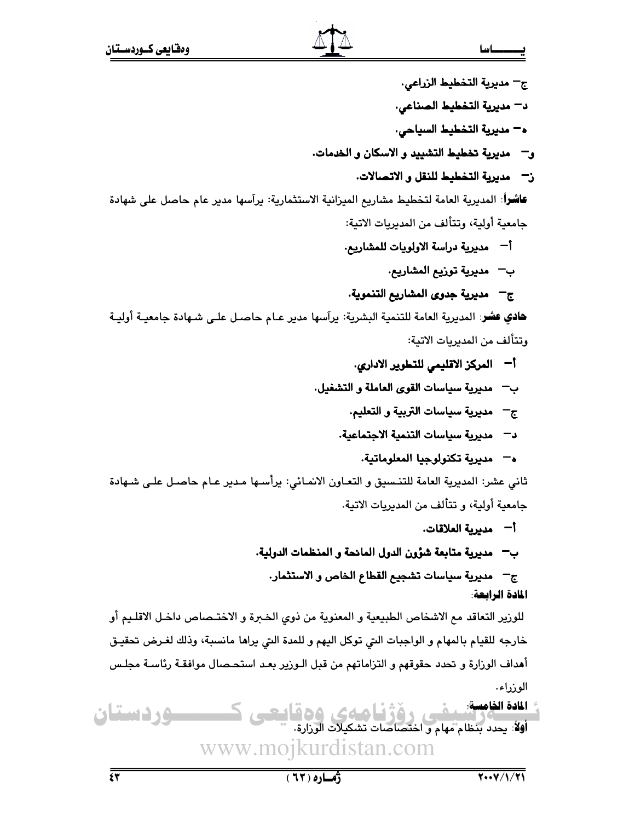ج– مديرية التخطيط الزراعي. د– مديرية التخطيط الصناعي. ه – مديرية التخطيط السياحي. و– مديرية تخطيط التشييد و الاسكان و الخدمات. ز— مديرية التخطيط للنقل و الاتصالات. **عاشر**اً: المديرية العامة لتخطيط مشاريع الميزانية الاستثمارية: يرآسها مدير عام حاصل على شهادة جامعية أولية، وتتألف من المديريات الاتية: أ<sup>—</sup> مديرية دراسة الاولويات للمشاريع. ب— مديرية توزيع المشاريع. ج— مديرية جدوى المشاريع التنموية. **هادي عشر**: المديرية العامة للتنمية البشرية: يرآسها مدير عـام حاصـل علـي شـهادة جامعيـة أوليـة وتتألف من المديريات الاتية: أ<sup>ـــ</sup> المركز الاقليمي للتطوير الاداري. ب- مديرية سياسات القوى العاملة و التشغيل. ج− مديرية سياسات التربية و التعليم. د— مديرية سياسات التنمية الاجتماعية.

ثاني عشر: المديرية العامة للتنسيق و التعاون الانمـائي: يرأسـها مـدير عـام حاصـل علـى شـهادة جامعية أولية، و تتألف من المديريات الاتية.

أ− مديرية العلاقات.

ه− مديرية تكنولوجيا المعلوماتية.

ب— مديرية متابعة شؤون الدول المانحة و المنظمات الدولية.

ج— مديرية سياسات تشجيع القطاع الخاص و الاستثمار. المادة الرابعة:

للورير التعاقد مم الاشخاص الطبيعية و المعنوية من ذوى الخبرة و الاختـصاص داخـل الاقلـيم أو خارجه للقيام بالمهام و الواجبات التي توكل اليهم و للمدة التي يراها مانسبة، وذلك لغـرض تحقيـق أهداف الوزارة و تحدد حقوقهم و التزاماتهم من قبل الـوزير بعـد استحـصال موافقـة رئاسـة مجلـس الوزراء.

المادة الخامسة. **وردستان** ست<del>ست و المنصوب و وقواط (ساء ک</del>ی (وک)<br>**أولاً**: يحدد بنظام مهام و اختصاصات تشکيلات الوزارة.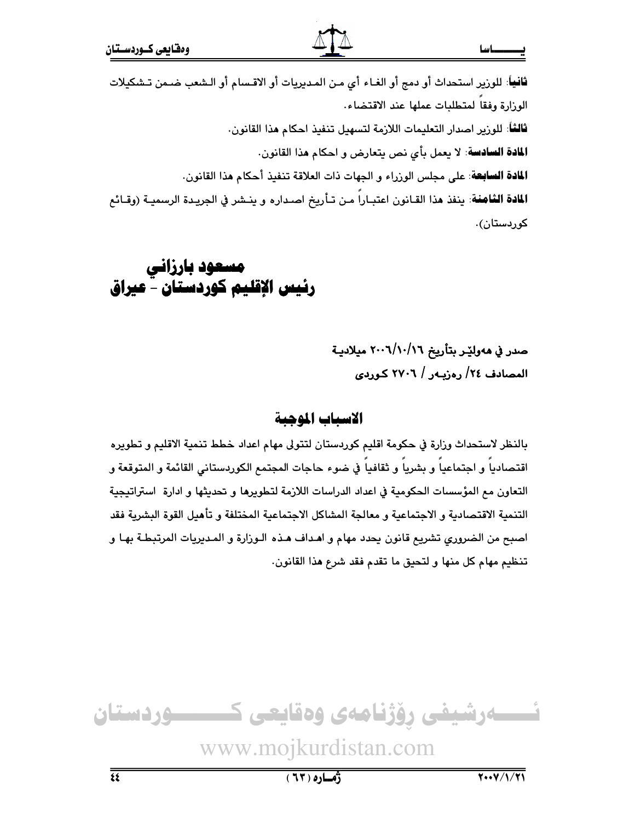**ثانيا**ً: للورير استحداث أو دمج أو الغـاء أى مـن المـديريات أو الاقـسام أو الـشعب ضـمن تـشكيلات الوزارة وفقا لمتطلبات عملها عند الاقتضاء. **ثالثاً**: للورير اصدار التعليمات اللازمة لتسهيل تنفيذ احكام هذا القانون. المادة السادسة: لا يعمل بأى نص يتعارض و احكام هذا القانون. **المادة السابعة**: على مجلس الوزراء و الجهات ذات العلاقة تنفيذ أحكام هذا القانون. **المادة الثامنة**: ينفذ هذا القـانون اعتبـاراً مـن تـأريخ اصـداره و ينـشر في الجريـدة الرسميـة (وقـائح کوردستان).

## مسعود بارزاني رئيس الإقليم كوردستان - عيراق

صدر في هەولێر بتأريخ ١٦/١٠/١٦ ميلاديــة المصادف ٢٤/ رەزيەر / ٢٧٠٦ كوردى

## الاسياب الموجية

بالنظر لاستحداث وزارة في حكومة اقليم كوردستان لتتولى مهام اعداد خطط تنمية الاقليم و تطويره اقتصادياً و اجتماعياً و بشرياً و ثقافياً في ضوء حاجات المجتمع الكوردستاني القائمة و المتوقعة و التعاون مع المؤسسات الحكومية في اعداد الدراسات اللازمة لتطويرها و تحديثها و ادارة استراتيجية التنمية الاقتصادية و الاجتماعية و معالجة المشاكل الاجتماعية المختلفة و تأهيل القوة البشرية فقد اصبح من الضروري تشريع قانون يحدد مهام و اهـداف هـذه الـوزارة و المـديريات المرتبطـة بهـا و تنظيم مهام كل منها و لتحيق ما تقدم فقد شرع هذا القانون.

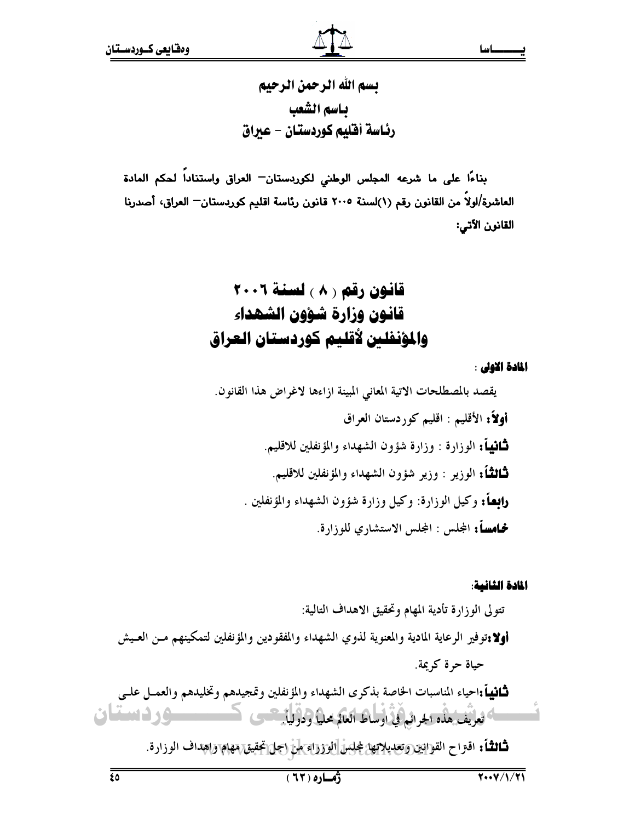بسم الله الرحمن الرحيم ياسم الشعب رئاسة أفليم كوردستان – عبراق

بناءًا على ما شرعه المجلس الوطنى لكوردستان<sup>—</sup> العراق واستناداً لحكم المادة العاشرة/اولاً من القانون رقم (١)لسنة ٢٠٠٥ قانون رئاسة اقليم كوردستان— العراق، أصدرنا القانون الآتي:

# قانون رقم ( ٨ ) لسنة ٢٠٠٦ قانون وزارة شؤون الشهداء والمؤنفلين لأقليم كوردستان العراق

المادة الاولى :

يقصد بالمصطلحات الاتية المعاني المبينة ازاءها لاغراض هذا القانون. أولاً: الأقليم : اقليم كوردستان العراق **ثَـانيهاً:** الوزارة : وزارة شؤون الشهداء والمؤنفلين للاقليم. **ثَـالثَـُـاً:** الوزير : وزير شؤون الشهداء والمؤنفلين للاقليم. **رابِعاً:** وكيل الوزارة: وكيل وزارة شؤون الشهداء والمؤنفلين . **څامساً:** المجلس : المجلس الاستشاري للوزارة.

المادة الثانسة:

تتولى الوزارة تأدية المهام وتحقيق الاهداف التالية: أولا:توفير الرعاية المادية والمعنوية لذوي الشهداء والمفقودين والمؤنفلين لتمكينهم مـن العـيش حياة حرة كربمة. ثائياً:احياء المناسبات الخاصة بذكرى الشهداء والمؤنفلين وتمجيدهم وتخليدهم والعمـل علـي تعريف هذه الجرائم فيِّ أوساط العالم محلياً ودولياً . فلمن المستقبل في المستقبل في المستقبل في

**شانشاً:** اقتراح القوانين وتعديلاتها لمجلس الوزراء من اجل(تحقيق\مهام واهداف الوزارة.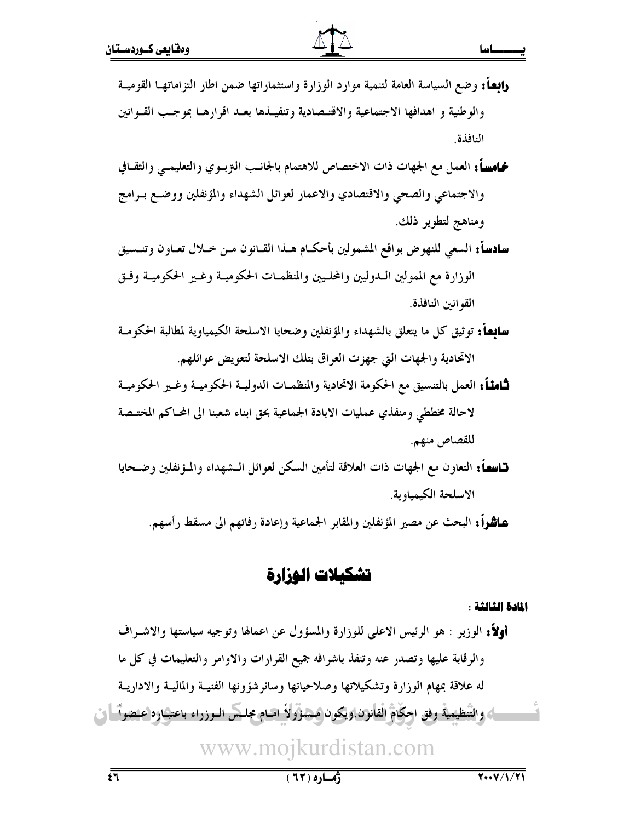- والطأ: وضع السياسة العامة لتنمية موارد الوزارة واستثماراتها ضمن اطار التزاماتهـا القوميــة والوطنية و اهدافها الاجتماعية والاقتـصادية وتنفيــذها بعــد اقرارهــا بموجـب القــوانين النافذة
- محامساً: العمل مع الجهات ذات الاختصاص للاهتمام بالجانب الـ; بــوي والتعليمــي والثقــافي والاجتماعي والصحى والاقتصادي والاعمار لعوائل الشهداء والمؤنفلين ووضع ببرامج ومناهج لتطوير ذلك.
- **سادساً:** السعي للنهوض بواقع المشمولين بأحكــام هــذا القــانون مــن خــلال تعــاون وتنــسيق الوزارة مع الممولين الـدوليين والمحلـيين والمنظمـات الحكوميــة وغـير الحكوميــة وفــق القوانين النافذة.
- **سابساً:** توثيق كل ما يتعلق بالشهداء والمؤنفلين وضحايا الاسلحة الكيمياوية لمطالبة الحكومــة الاتحادية والجهات التي جهزت العراق بتلك الاسلحة لتعويض عوائلهم.
- لْمُنْتَافِعْ العملِ بالتنسيقِ مع الحكومة الاتحادية والمنظمــات الدوليــة الحكوميــة وغــير الحكوميــة لاحالة مخططى ومنفذي عمليات الابادة الجماعية بحق ابناء شعبنا الى المحاكم المختـصة للقصاص منهم.
- تَّنَاسِعاً: التعاون مع الجهات ذات العلاقة لتأمين السكن لعوائل الـشهداء والمـؤنفلين وضـحايا الاسلحة الكيمياوية.

**عـاشراً :** البحث عن مصير المؤنفلين والمقابر الجماعية وإعادة رفاتهم الى مسقط رأسهم.

## تشكيلات الهزارة

#### المادة الثالثة :

أولاً: الوزير : هو الرئيس الاعلى للوزارة والمسؤول عن اعمالها وتوجيه سياستها والاشـراف والرقابة عليها وتصدر عنه وتنفذ باشرافه جميع القرارات والاوامر والتعليمات في كل ما له علاقة بمهام الوزارة وتشكيلاتها وصلاحياتها وسائرشؤونها الفنيــة والماليــة والاداريــة لى والتنظيمية وفق احكام القانون ويكون مسئوولاً امّام مجلس الـوزراء باعتباره عـصواً لَيْ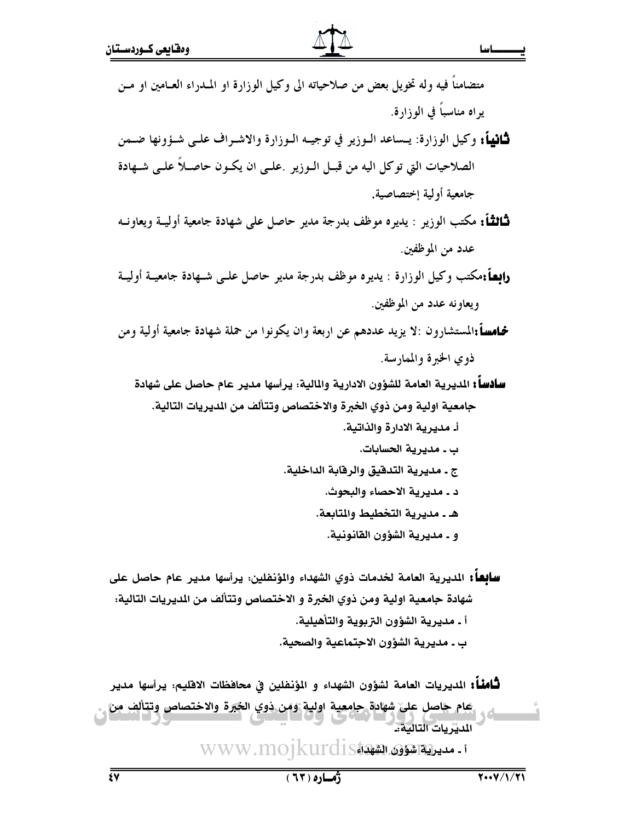| متضامناً فيه وله تخويل بعض من صلاحياته الى وكيل الوزارة او المــدراء العــامين او مــن          |
|-------------------------------------------------------------------------------------------------|
| يراه مناسباً في الوزارة.                                                                        |
| <b>ثَانياً:</b> وكيل الوزارة: يـساعد الـوزير في توجيـه الـوزارة والاشـراف علـى شـؤونها ضـمن     |
| الصلاحيات التي توكل اليه من قبــل الــوزير .علــى ان يكــون حاصــلاً علــى شــهادة              |
| جامعية أولية إختصاصية.                                                                          |
| <b>ثَـالثـُـاً:</b> مكتب الوزير : يديره موظف بدرجة مدير حاصل على شهادة جامعية أوليــة ويعاونــه |
| عدد من الموظفين.                                                                                |
| <b>رابِطَ</b> •مكتب وكيل الوزارة : يديره موظف بدرجة مدير حاصل علــى شــهادة جامعيــة أوليــة    |
| ويعاونه عدد من الموظفين.                                                                        |
| <b>څـامسـاً:</b> المستشارون :لا يزيد عددهم عن اربعة وان يكونوا من حملة شهادة جامعية أولية ومن   |
| ذوي الخبرة والممارسة.                                                                           |
| <b>سادساً :</b> المديرية العامة للشؤون الادارية والمالية: يرأسها مدير عام حاصل على شهادة        |
| جامعية اولية ومن ذوي الخبرة والاختصاص وتتألف من المديريات التالية.                              |
| أ. مديرية الادارة والذاتية.                                                                     |

- ب ـ مديرية الحسابات.
- ج ـ مديرية التدقيق والرقابة الداخلية.
	- د ـ مديرية الاحصاء والبحوث.
	- هـ ـ مديرية التخطيط والتابعة.
		- و ـ مديرية الشؤون القانونية.
- **سابِعاً:** الديرية العامة لخدمات ذوي الشهداء والمؤنفلين: يرأسها مدير عام حاصل على شهادة جامعية اولية ومن ذوى الخبرة و الاختصاص وتتألف من المديريات التالية: أ ـ مديرية الشؤون التربوية والتأهيلية. ب ـ مديرية الشؤون الاجتماعية والصحية.

**ثَّامناً:** المديريات العامة لشؤون الشهداء و المؤنفلين في محافظات الاقليم: يرأسها مدير عام جاصل على شهادة جامعية اولية ومن ذوي الخبرة والاختصاص وتتألف من المديريات التالية:

ا ـ مديرية تقوق الفهداة www.mojkurdis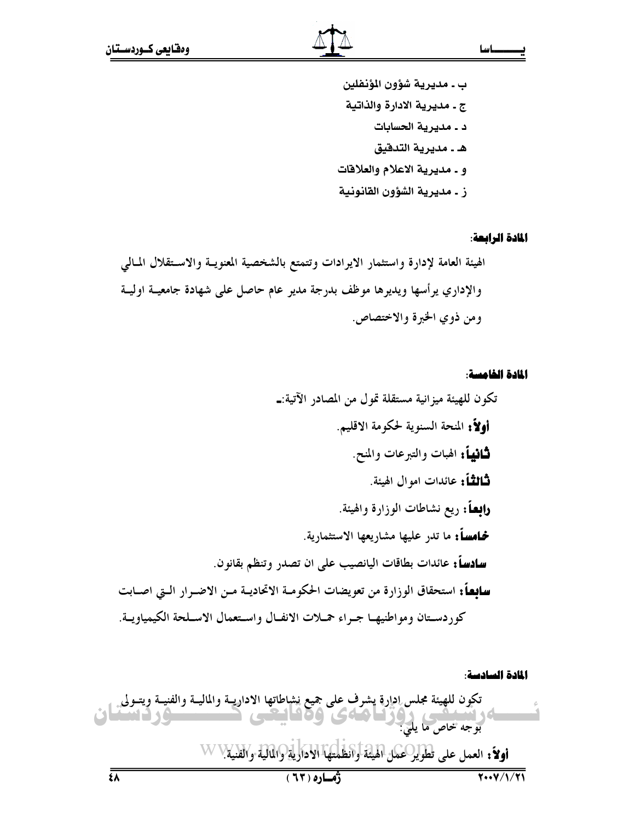ب ـ مديرية شؤون المؤنفلين ج ـ مديرية الادارة والذاتية د ـ مديرية الحسابات هـ ـ مديرية التدقيق و ـ مديرية الاعلام والعلاقات ز ـ مديرية الشؤون القانونية

#### المادة الرابعة:

الهيئة العامة لإدارة واستثمار الايرادات وتتمتع بالشخصية المعنويــة والاســتقلال المـالمي والإداري يرأسها ويديرها موظف بدرجة مدير عام حاصل على شهادة جامعيــة اوليــة ومن ذوى الخبرة والاختصاص.

#### المادة الخامسة:

المادة السادسة: اولاً: العمل على تطوير عمل الهيئة وانظمتها الادارية والمالية والفنية W W  $\frac{1}{1+1}$  $\overline{\mathfrak{c} \Lambda}$  $(75)$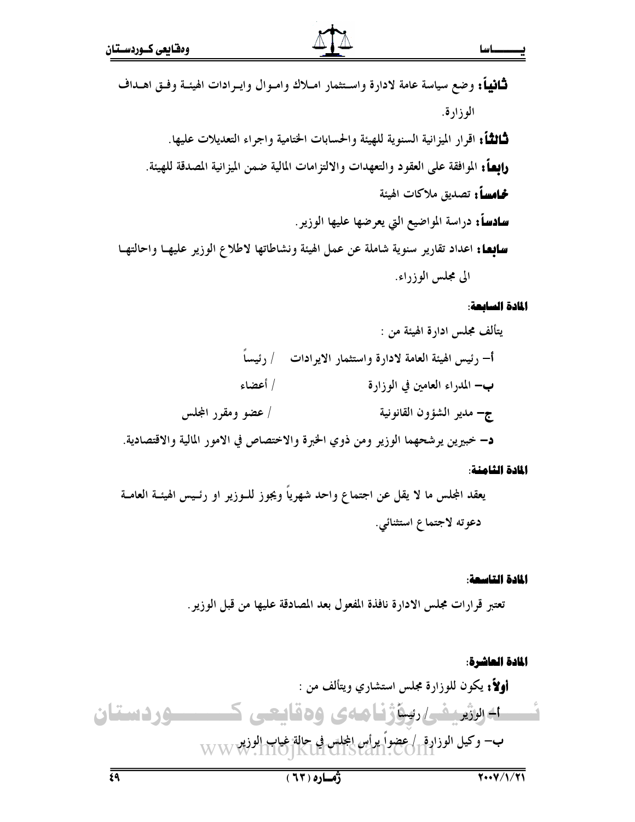## باسا

## المادة السابعة:

#### المادة الثامنة:

#### المادة التاسعة:

تعتبر قرارات مجلس الادارة نافذة المفعول بعد المصادقة عليها من قبل الوزير.

 $\overline{\mathfrak{g}}$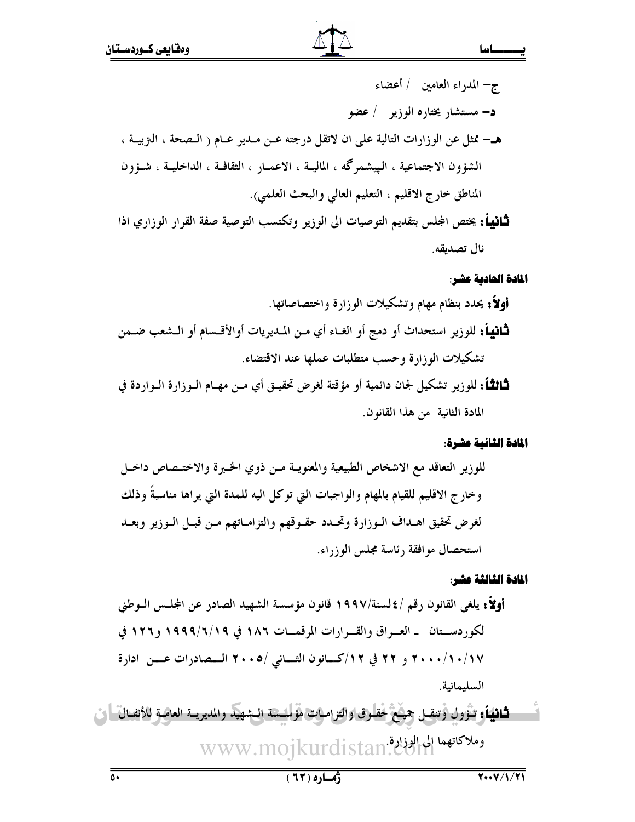ج– المدراء العامين / أعضاء د– مستشار یختاره الوزیر / عضو هـــ ممثل عن الوزارات التالية على ان لاتقل درجته عـن مــدير عــام ( الــصحة ، الـتزبيــة ، الشؤون الاجتماعية ، البيشمرگه ، الماليــة ، الاعمــار ، الثقافــة ، الداخليــة ، شــؤون المناطق خارج الاقليم ، التعليم العالمي والبحث العلمي). **ثَـانيهاً:** يختص المجلس بتقديم التوصيات الى الوزير وتكتسب التوصية صفة القرار الوزاري اذا نال تصديقه.

#### المادة الحادية عشر:

أولاً: يحدد بنظام مهام وتشكيلات الوزارة واختصاصاتها. ثَنَافِيهاً: للوزير استحداث أو دمج أو الغـاء أي مـن المـديريات أوالأقـسام أو الـشعب ضـمن تشكيلات الوزارة وحسب متطلبات عملها عند الاقتضاء.

ثَنَاثِقَاً: للوزير تشكيل لجان دائمية أو مؤقتة لغرض تحقيـق أي مـن مهــام الــوزارة الــواردة في المادة الثانية ً من هذا القانون.

#### المادة الثانية عشرة:

للوزير التعاقد مع الاشخاص الطبيعية والمعنويــة مـن ذوى الخـبرة والاختــصاص داخـل وخارج الاقليم للقيام بالمهام والواجبات التي توكل اليه للمدة التي يراها مناسبةً وذلك لغرض تحقيق اهـداف الـوزارة وتحـدد حقـوقهم والتزامـاتهم مـن قبـل الـوزير وبعـد استحصال موافقة رئاسة مجلس الوزراء.

## المادة الثالثة عشر:

أولاً: يلغي القانون رقم /٤لسنة/١٩٩٧ قانون مؤسسة الشهيد الصادر عن المجلـس الـوطني لكوردســتان - العــراق والقــرارات المرقمــات ١٨٢ في ١٩٩٩/٦/٦/٩ و ١٢٢ في ١٧/١٠/١٠/١٧ و ٢٢ في ١٢/كسانون الشساني /٢٠٠٥ السلصادرات عسين ادارة السلىمانىة.

**شانيتاً؛** تَنْوُول وُتِنقِـل جَمِيْعٌ خَفْلُوق والتزامـات مُوَلِّسْسَة الـشهيد والمديريــة العامـة للأنفـال - ل وملاكاتهما الى الوذارة.www.mojkurdistan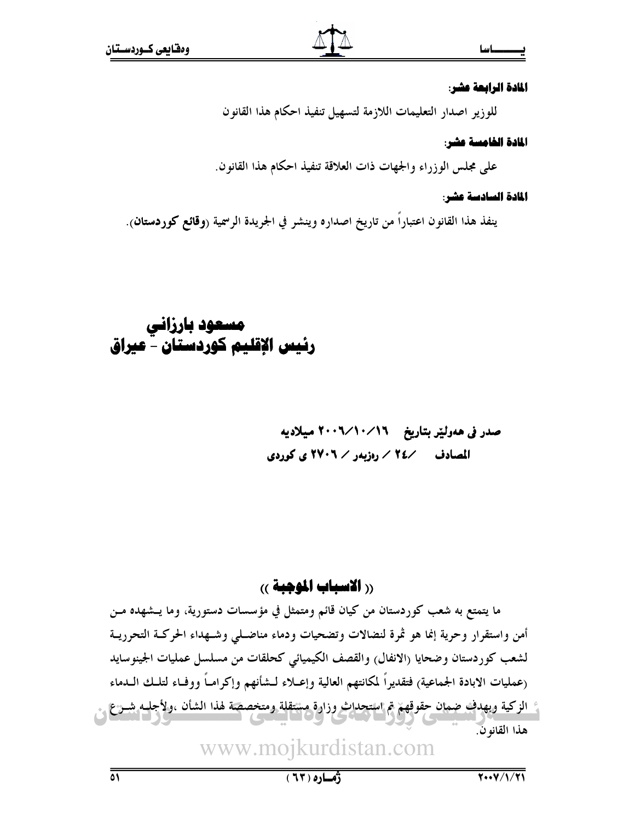#### المادة الرابعة عشر:

للوزير اصدار التعليمات اللازمة لتسهيل تنفيذ احكام هذا القانون

## المادة الخامسة عشر:

على مجلس الوزراء والجهات ذات العلاقة تنفيذ احكام هذا القانون.

#### المادة السادسة عشر:

ينفذ هذا القانون اعتباراً من تاريخ اصداره وينشر في الجريدة الرسمية (**وقائع كوردستان**).

## مسعود بارزاني رئيس الإقليم كوردستان - عيراق

## صدر فی هەولێر بتاریخ 1\1 / 1 / 1 ، 1 میلادیه المصادف /٢٤ / رهزيدر / ٢٧٠٦ ي كوردي

## (( الاسباب الموجبة ))

ما يتمتع به شعب كوردستان من كيان قائم ومتمثل في مؤسسات دستورية، وما يــشهده مــن أمن واستقرار وحرية إنما هو ثمرة لنضالات وتضحيات ودماء مناضـلمي وشـهداء الحركــة التحرريــة لشعب كوردستان وضحايا (الانفال) والقصف الكيميائي كحلقات من مسلسل عمليات الجينوسايد (عمليات الابادة الجماعية) فتقديراً لمكانتهم العالية وإعــلاء لــشأنهم وإكرامــاً ووفــاء لتلــك الــدماء ء الزكية وبهدف ضمان حقوقهم تم استحداث وزارة مستقلة ومتخصصة لهذا الشأن ،ولأجلبه شـرع

هذا القانون.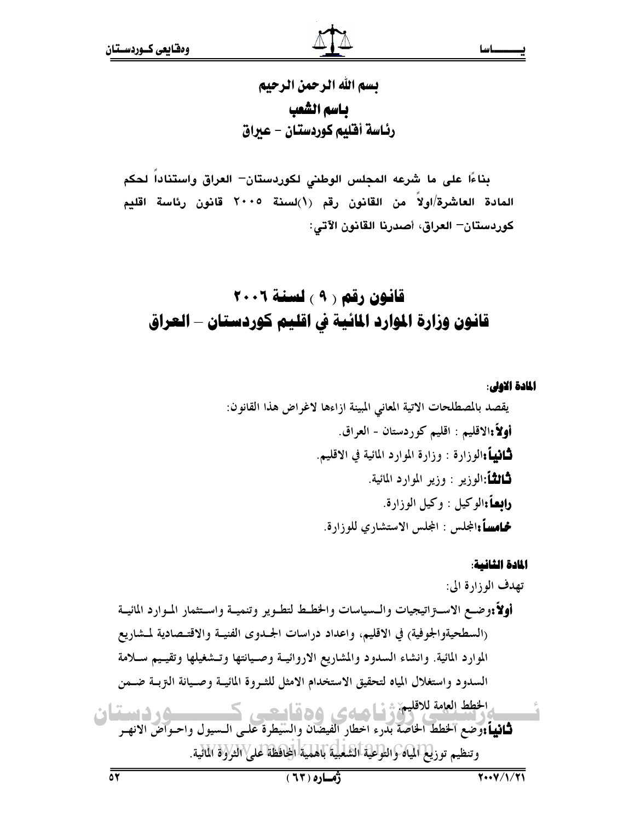ــاسا

## بسم الله الرحمن الرحيم باسم الشعب رئاسة أفليم كوردستان – عبراق

بِناءًا على ما شرعه المجلس الوطني لكوردستان— العراق واستناداً لحكم المادة العاشرة/اولاً من القانون رقم (١)لسنة ٢٠٠٥ قانون رئاسة اقليم كوردستان– العراق، أصدرنا القانون الآتى:

## قانون رقم ( ۹ ) لسنة ۲۰۰۱ قانون وزارة الموارد المائية في اقليم كوردستان – العراق

المادة الاولى: يقصد بالمصطلحات الاتية المعاني المبينة ازاءها لاغراض هذا القانون: أولاً:الاقليم : اقليم كوردستان - العراق. **ثَنَاثِيهَ** الوزارة : وزارة الموارد المائية في الاقليم. **ثـاثثـاً:**الوزير : وزير الموارد المائية. **دايعاً:**الوكيل : وكيل الوزارة. خامساً:المجلس: المجلس الاستشاري للوزارة.

## المادة الشانبية:

تهدف الوزارة الي: أولأ ووضع الاسة اتيجيات والسياسات والخطط لتطوير وتنمية واستثمار الموارد المائية (السطحيةوالجوفية) في الاقليم، واعداد دراسات الجبدوي الفنيــة والاقتــصادية لمـشاريع الموارد المائية. وانشاء السدود والمشاريع الاروائيـة وصـيانتها وتـشغيلها وتقيـيم سـلامة السدود واستغلال المياه لتحقيق الاستخدام الامثل للث ووة المائيـة وصـيانة التزبـة ضـمن وتنظيم توزيع المياه والتواعية الشعبية بالهمية المحافظة على الثروة المائية.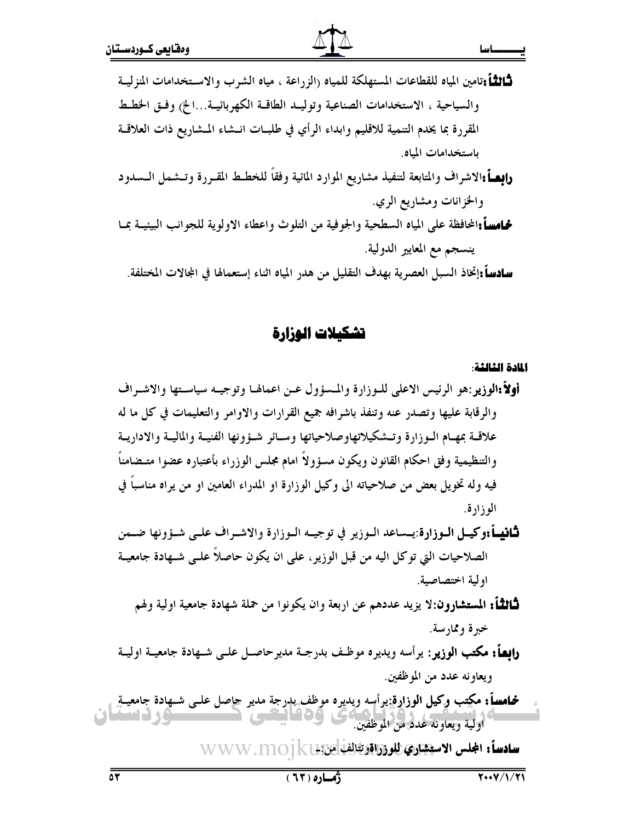- ثَنَاثِقًاً بتامين المياه للقطاعات المستهلكة للمياه (الزراعة ، مياه الشرب والاسـتخدامات المنزليــة والسياحية ، الاستخدامات الصناعية وتوليـد الطاقـة الكهربائيــة...الخ) وفـق الخطـط المقررة بما يخدم التنمية للاقليم وابداء الرأي في طلبــات انــشاء المـشاريع ذات العلاقــة باستخدامات المياه.
- و**ابِصـأ**؛الاشراف والمتابعة لتنفيذ مشاريع الموارد المائية وفقاً للخطـط المقـررة وتــشمل الــسدود والخزانات ومشاريع الري.
- **خمامساً:**المحافظة على المياه السطحية والجوفية من التلوث واعطاء الاولوية للجوانب البيئيــة بمــا ينسجم مع المعايير الدولية.

**سـادسـأ** ;إتخاذ السبـل العصرية بهدف التقليل من هدر المياه اثناء إستعمالها في المجالات المختلفة.

## تشكيلات الوزارة

المادة الثالثة:

- أولاً:الوزير:هو الرئيس الاعلى للوزارة والمسؤول عـن اعمالها وتوجيـه سياسـتها والاشـراف والرقابة عليها وتصدر عنه وتنفذ باشرافه جميع القرارات والاوامر والتعليمات في كل ما له علاقبة بمهيام البوزارة وتبشكيلاتهاوصلاحياتها وسبائر شئوونها الفنيبة والماليبة والإداريبة والتنظيمية وفق احكام القانون ويكون مسؤولأ امام مجلس الوزراء بأعتباره عضوا متــضامناً فيه وله تخويل بعض من صلاحياته الى وكيل الوزارة او المدراء العامين او من يراه مناسباً في الوزارة. ثانياً:وكيـل الـوزارة:يــساعد الـوزير في توجيــه الـوزارة والاشـراف علـى شـؤونها ضــمن الصلاحيات التي توكل اليه من قبل الوزير ، على ان يكون حاصلاً علــي شــهادة جامعيــة
	- **ثَـالثَـاً:** المستشارون:لا يزيد عددهم عن اربعة وان يكونوا من حملة شهادة جامعية اولية ولهم خيرة وممارسة.
- **رابعاً: مكتب الوزير** : يرأسه ويديره موظَّف بدرجـة مدير حاصـل علـى شـهادة جامعيــة اوليــة ويعاونه عدد من الموظفين.
- **محامساً: مكتب وكيل الوزارة:**يرأسه ويديره موظف بدرجة مدير حاصل علـى شـهادة جامعيــةٍ **NHOO** أولية ويعاونه عدد من الموظفين.

سادساً: الجلس الاستشاري للرزراة وتتالف من WWW.MOJKLE

اولية اختصاصية.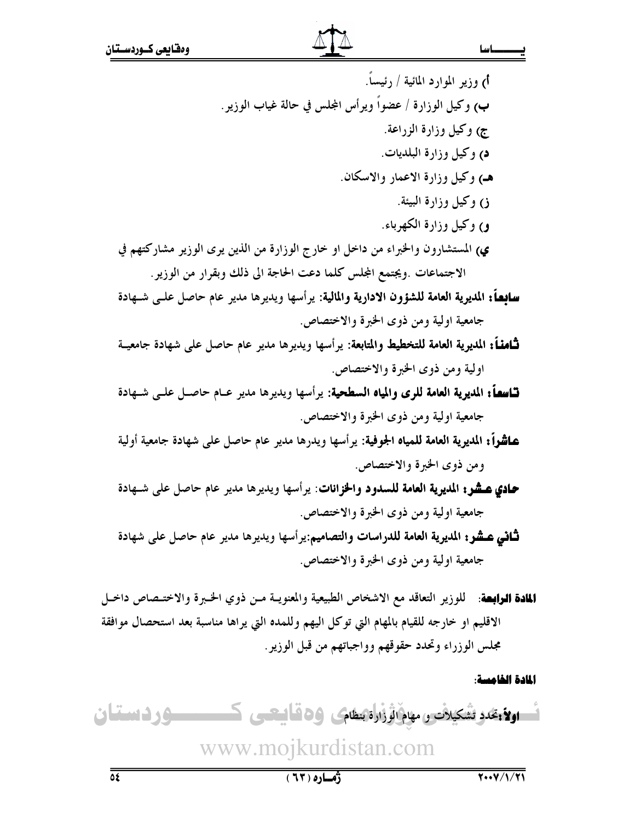أ) وزير الموارد المائية / رئيساً. ب) وكيل الوزارة / عضواً ويرأس المجلس في حالة غياب الوزيو . ج) وكيل وزارة الزراعة. د) وكيل وزارة البلديات. هـ) وكيل وزارة الاعمار والاسكان. ز) وكيل وزارة البيئة. و) وکيل وزارة الکهرباء. ي) المستشارون والخبراء من داخل او خارج الوزارة من الذين يرى الوزير مشاركتهم في الاجتماعات .ويجتمع المجلس كلما دعت الحاجة الى ذلك وبقرار من الوزير. **سابعاً: المديرية العامة للشؤون الادارية والمالية**: يرأسها ويديرها مدير عام حاصل علـبي شـهادة جامعية اولية ومن ذوى الخبرة والاختصاص. **ثَــامنــاً: المديرية العامة للتخطيط والمتابعة**: يرأسها ويديرها مدير عام حاصل علم شهادة جامعيــة اولية ومن ذوى الخبرة والاختصاص. تاسعاً: المديرية العامة للري والمياه السطحية: يرأسها ويديرها مدير عـام حاصـل علـي شـهادة جامعية اولية ومن ذوى الخبرة والاختصاص. عاشراً: المديرية العامة للمياه الجوفية: يرأسها ويدرها مدير عام حاصل على شهادة جامعية أولية ومن ذوى الخبرة والاختصاص. حادي عشر: المديرية العامة للسدود والخزانات: يرأسها ويديرها مدير عام حاصل على شـهادة جامعية اولية ومن ذوى الخبرة والاختصاص.

**ثنافي عشر: المديرية العامة للدراسات والتصاميم:**يرأسها ويديرها مدير عام حاصل على شهادة جامعية اولية ومن ذوى الخبرة والاختصاص.

**المادة الرابعة**: للوزير التعاقد مع الاشخاص الطبيعية والمعنويــة مــن ذوي الخــبرة والاختــصاص داخــل الاقليم او خارجه للقيام بالمهام التي توكل اليهم وللمده التي يراها مناسبة بعد استحصال موافقة مجلس الوزراء وتحدد حقوقهم وواجباتهم من قبل الوزير.

المادة الخامسة:

<u>سوردستان</u> <del>ک اولاً ب</del>قدد تشکیلات و مهام آوُزَارة بنظامی 60 قیالیستی ک www.mojkurdistan.com